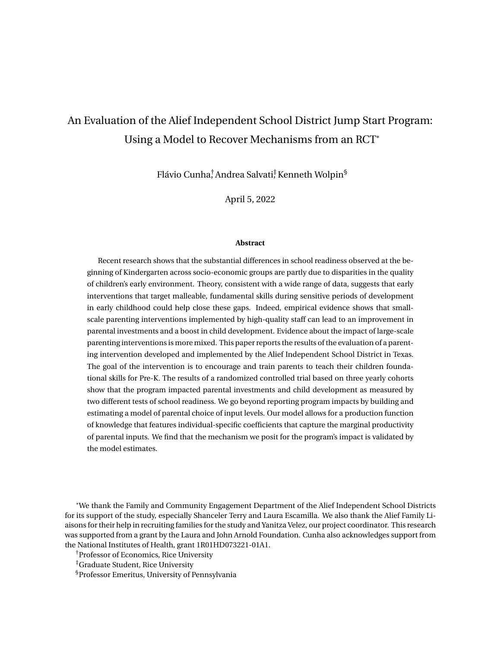# An Evaluation of the Alief Independent School District Jump Start Program: Using a Model to Recover Mechanisms from an RCT\*

Flávio Cunha†Andrea Salvati‡ Kenneth Wolpin<sup>§</sup>

April 5, 2022

#### **Abstract**

Recent research shows that the substantial differences in school readiness observed at the beginning of Kindergarten across socio-economic groups are partly due to disparities in the quality of children's early environment. Theory, consistent with a wide range of data, suggests that early interventions that target malleable, fundamental skills during sensitive periods of development in early childhood could help close these gaps. Indeed, empirical evidence shows that smallscale parenting interventions implemented by high-quality staff can lead to an improvement in parental investments and a boost in child development. Evidence about the impact of large-scale parenting interventions is more mixed. This paper reports the results of the evaluation of a parenting intervention developed and implemented by the Alief Independent School District in Texas. The goal of the intervention is to encourage and train parents to teach their children foundational skills for Pre-K. The results of a randomized controlled trial based on three yearly cohorts show that the program impacted parental investments and child development as measured by two different tests of school readiness. We go beyond reporting program impacts by building and estimating a model of parental choice of input levels. Our model allows for a production function of knowledge that features individual-specific coefficients that capture the marginal productivity of parental inputs. We find that the mechanism we posit for the program's impact is validated by the model estimates.

\*We thank the Family and Community Engagement Department of the Alief Independent School Districts for its support of the study, especially Shanceler Terry and Laura Escamilla. We also thank the Alief Family Liaisons for their help in recruiting families for the study and Yanitza Velez, our project coordinator. This research was supported from a grant by the Laura and John Arnold Foundation. Cunha also acknowledges support from the National Institutes of Health, grant 1R01HD073221-01A1.

†Professor of Economics, Rice University

‡Graduate Student, Rice University

§Professor Emeritus, University of Pennsylvania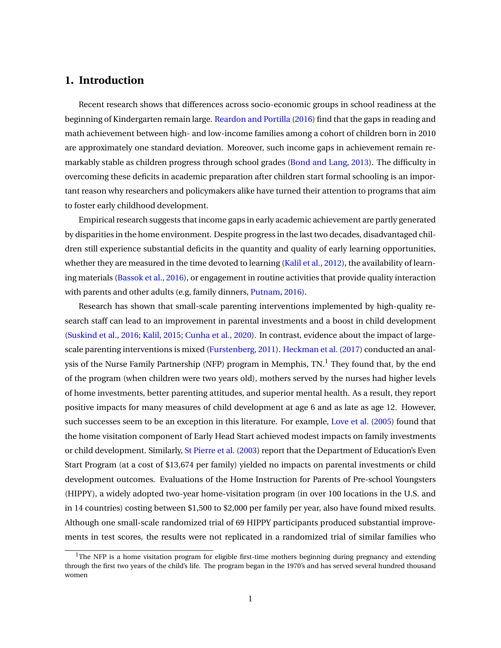## **1. Introduction**

Recent research shows that differences across socio-economic groups in school readiness at the beginning of Kindergarten remain large. [Reardon and Portilla](#page-23-0) [\(2016\)](#page-23-0) find that the gaps in reading and math achievement between high- and low-income families among a cohort of children born in 2010 are approximately one standard deviation. Moreover, such income gaps in achievement remain remarkably stable as children progress through school grades [\(Bond and Lang,](#page-22-0) [2013\)](#page-22-0). The difficulty in overcoming these deficits in academic preparation after children start formal schooling is an important reason why researchers and policymakers alike have turned their attention to programs that aim to foster early childhood development.

Empirical research suggests that income gaps in early academic achievement are partly generated by disparities in the home environment. Despite progress in the last two decades, disadvantaged children still experience substantial deficits in the quantity and quality of early learning opportunities, whether they are measured in the time devoted to learning [\(Kalil et al.,](#page-22-1) [2012\)](#page-22-1), the availability of learning materials [\(Bassok et al.,](#page-22-2) [2016\)](#page-22-2), or engagement in routine activities that provide quality interaction with parents and other adults (e.g, family dinners, [Putnam,](#page-23-1) [2016\)](#page-23-1).

Research has shown that small-scale parenting interventions implemented by high-quality research staff can lead to an improvement in parental investments and a boost in child development [\(Suskind et al.,](#page-23-2) [2016;](#page-23-2) [Kalil,](#page-22-3) [2015;](#page-22-3) [Cunha et al.,](#page-22-4) [2020\)](#page-22-4). In contrast, evidence about the impact of largescale parenting interventions is mixed [\(Furstenberg,](#page-22-5) [2011\)](#page-22-5). [Heckman et al.](#page-22-6) [\(2017\)](#page-22-6) conducted an analysis of the Nurse Family Partnership (NFP) program in Memphis,  $TN<sup>1</sup>$  $TN<sup>1</sup>$  $TN<sup>1</sup>$  They found that, by the end of the program (when children were two years old), mothers served by the nurses had higher levels of home investments, better parenting attitudes, and superior mental health. As a result, they report positive impacts for many measures of child development at age 6 and as late as age 12. However, such successes seem to be an exception in this literature. For example, [Love et al.](#page-23-3) [\(2005\)](#page-23-3) found that the home visitation component of Early Head Start achieved modest impacts on family investments or child development. Similarly, [St Pierre et al.](#page-23-4) [\(2003\)](#page-23-4) report that the Department of Education's Even Start Program (at a cost of \$13,674 per family) yielded no impacts on parental investments or child development outcomes. Evaluations of the Home Instruction for Parents of Pre-school Youngsters (HIPPY), a widely adopted two-year home-visitation program (in over 100 locations in the U.S. and in 14 countries) costing between \$1,500 to \$2,000 per family per year, also have found mixed results. Although one small-scale randomized trial of 69 HIPPY participants produced substantial improvements in test scores, the results were not replicated in a randomized trial of similar families who

<span id="page-1-0"></span> $<sup>1</sup>$ The NFP is a home visitation program for eligible first-time mothers beginning during pregnancy and extending</sup> through the first two years of the child's life. The program began in the 1970's and has served several hundred thousand women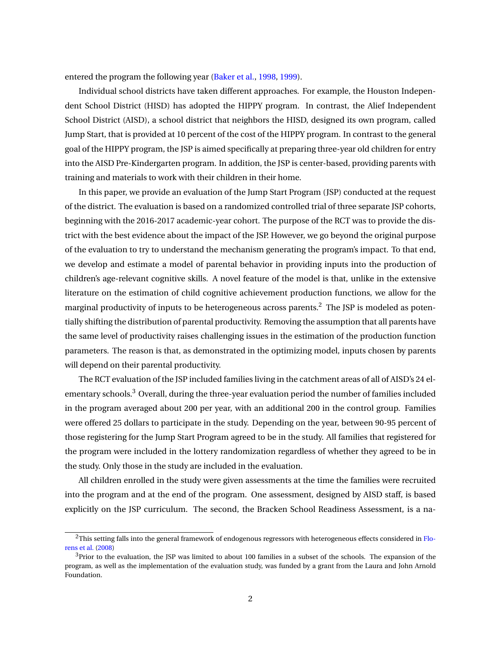entered the program the following year [\(Baker et al.,](#page-22-7) [1998,](#page-22-7) [1999\)](#page-22-8).

Individual school districts have taken different approaches. For example, the Houston Independent School District (HISD) has adopted the HIPPY program. In contrast, the Alief Independent School District (AISD), a school district that neighbors the HISD, designed its own program, called Jump Start, that is provided at 10 percent of the cost of the HIPPY program. In contrast to the general goal of the HIPPY program, the JSP is aimed specifically at preparing three-year old children for entry into the AISD Pre-Kindergarten program. In addition, the JSP is center-based, providing parents with training and materials to work with their children in their home.

In this paper, we provide an evaluation of the Jump Start Program (JSP) conducted at the request of the district. The evaluation is based on a randomized controlled trial of three separate JSP cohorts, beginning with the 2016-2017 academic-year cohort. The purpose of the RCT was to provide the district with the best evidence about the impact of the JSP. However, we go beyond the original purpose of the evaluation to try to understand the mechanism generating the program's impact. To that end, we develop and estimate a model of parental behavior in providing inputs into the production of children's age-relevant cognitive skills. A novel feature of the model is that, unlike in the extensive literature on the estimation of child cognitive achievement production functions, we allow for the marginal productivity of inputs to be heterogeneous across parents.<sup>[2](#page-2-0)</sup> The JSP is modeled as potentially shifting the distribution of parental productivity. Removing the assumption that all parents have the same level of productivity raises challenging issues in the estimation of the production function parameters. The reason is that, as demonstrated in the optimizing model, inputs chosen by parents will depend on their parental productivity.

The RCT evaluation of the JSP included families living in the catchment areas of all of AISD's 24 elementary schools.[3](#page-2-1) Overall, during the three-year evaluation period the number of families included in the program averaged about 200 per year, with an additional 200 in the control group. Families were offered 25 dollars to participate in the study. Depending on the year, between 90-95 percent of those registering for the Jump Start Program agreed to be in the study. All families that registered for the program were included in the lottery randomization regardless of whether they agreed to be in the study. Only those in the study are included in the evaluation.

All children enrolled in the study were given assessments at the time the families were recruited into the program and at the end of the program. One assessment, designed by AISD staff, is based explicitly on the JSP curriculum. The second, the Bracken School Readiness Assessment, is a na-

<span id="page-2-0"></span><sup>&</sup>lt;sup>2</sup>This setting falls into the general framework of endogenous regressors with heterogeneous effects considered in [Flo](#page-22-9)[rens et al.](#page-22-9) [\(2008\)](#page-22-9)

<span id="page-2-1"></span><sup>&</sup>lt;sup>3</sup>Prior to the evaluation, the JSP was limited to about 100 families in a subset of the schools. The expansion of the program, as well as the implementation of the evaluation study, was funded by a grant from the Laura and John Arnold Foundation.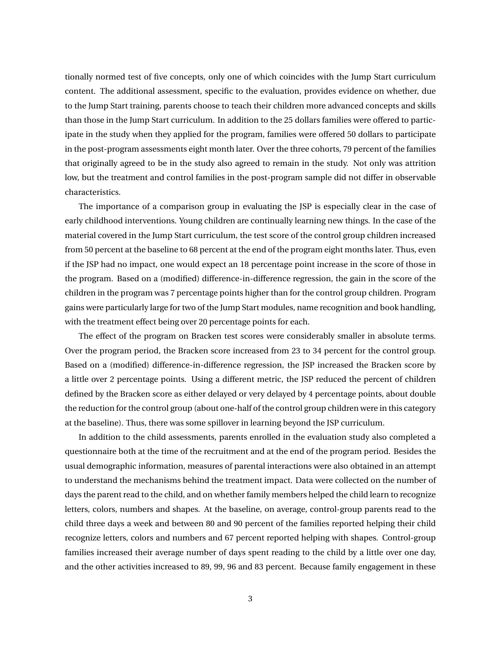tionally normed test of five concepts, only one of which coincides with the Jump Start curriculum content. The additional assessment, specific to the evaluation, provides evidence on whether, due to the Jump Start training, parents choose to teach their children more advanced concepts and skills than those in the Jump Start curriculum. In addition to the 25 dollars families were offered to participate in the study when they applied for the program, families were offered 50 dollars to participate in the post-program assessments eight month later. Over the three cohorts, 79 percent of the families that originally agreed to be in the study also agreed to remain in the study. Not only was attrition low, but the treatment and control families in the post-program sample did not differ in observable characteristics.

The importance of a comparison group in evaluating the JSP is especially clear in the case of early childhood interventions. Young children are continually learning new things. In the case of the material covered in the Jump Start curriculum, the test score of the control group children increased from 50 percent at the baseline to 68 percent at the end of the program eight months later. Thus, even if the JSP had no impact, one would expect an 18 percentage point increase in the score of those in the program. Based on a (modified) difference-in-difference regression, the gain in the score of the children in the program was 7 percentage points higher than for the control group children. Program gains were particularly large for two of the Jump Start modules, name recognition and book handling, with the treatment effect being over 20 percentage points for each.

The effect of the program on Bracken test scores were considerably smaller in absolute terms. Over the program period, the Bracken score increased from 23 to 34 percent for the control group. Based on a (modified) difference-in-difference regression, the JSP increased the Bracken score by a little over 2 percentage points. Using a different metric, the JSP reduced the percent of children defined by the Bracken score as either delayed or very delayed by 4 percentage points, about double the reduction for the control group (about one-half of the control group children were in this category at the baseline). Thus, there was some spillover in learning beyond the JSP curriculum.

In addition to the child assessments, parents enrolled in the evaluation study also completed a questionnaire both at the time of the recruitment and at the end of the program period. Besides the usual demographic information, measures of parental interactions were also obtained in an attempt to understand the mechanisms behind the treatment impact. Data were collected on the number of days the parent read to the child, and on whether family members helped the child learn to recognize letters, colors, numbers and shapes. At the baseline, on average, control-group parents read to the child three days a week and between 80 and 90 percent of the families reported helping their child recognize letters, colors and numbers and 67 percent reported helping with shapes. Control-group families increased their average number of days spent reading to the child by a little over one day, and the other activities increased to 89, 99, 96 and 83 percent. Because family engagement in these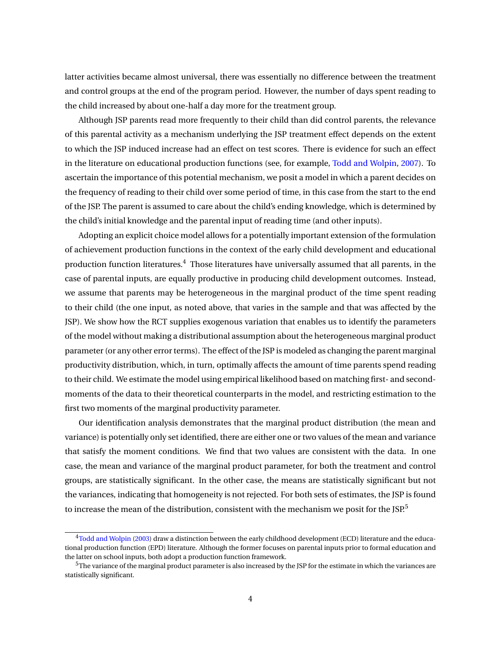latter activities became almost universal, there was essentially no difference between the treatment and control groups at the end of the program period. However, the number of days spent reading to the child increased by about one-half a day more for the treatment group.

Although JSP parents read more frequently to their child than did control parents, the relevance of this parental activity as a mechanism underlying the JSP treatment effect depends on the extent to which the JSP induced increase had an effect on test scores. There is evidence for such an effect in the literature on educational production functions (see, for example, [Todd and Wolpin,](#page-23-5) [2007\)](#page-23-5). To ascertain the importance of this potential mechanism, we posit a model in which a parent decides on the frequency of reading to their child over some period of time, in this case from the start to the end of the JSP. The parent is assumed to care about the child's ending knowledge, which is determined by the child's initial knowledge and the parental input of reading time (and other inputs).

Adopting an explicit choice model allows for a potentially important extension of the formulation of achievement production functions in the context of the early child development and educational production function literatures.<sup>[4](#page-4-0)</sup> Those literatures have universally assumed that all parents, in the case of parental inputs, are equally productive in producing child development outcomes. Instead, we assume that parents may be heterogeneous in the marginal product of the time spent reading to their child (the one input, as noted above, that varies in the sample and that was affected by the JSP). We show how the RCT supplies exogenous variation that enables us to identify the parameters of the model without making a distributional assumption about the heterogeneous marginal product parameter (or any other error terms). The effect of the JSP is modeled as changing the parent marginal productivity distribution, which, in turn, optimally affects the amount of time parents spend reading to their child. We estimate the model using empirical likelihood based on matching first- and secondmoments of the data to their theoretical counterparts in the model, and restricting estimation to the first two moments of the marginal productivity parameter.

Our identification analysis demonstrates that the marginal product distribution (the mean and variance) is potentially only set identified, there are either one or two values of the mean and variance that satisfy the moment conditions. We find that two values are consistent with the data. In one case, the mean and variance of the marginal product parameter, for both the treatment and control groups, are statistically significant. In the other case, the means are statistically significant but not the variances, indicating that homogeneity is not rejected. For both sets of estimates, the JSP is found to increase the mean of the distribution, consistent with the mechanism we posit for the  $JSP<sup>5</sup>$  $JSP<sup>5</sup>$  $JSP<sup>5</sup>$ 

<span id="page-4-0"></span><sup>4</sup>[Todd and Wolpin](#page-23-6) [\(2003\)](#page-23-6) draw a distinction between the early childhood development (ECD) literature and the educational production function (EPD) literature. Although the former focuses on parental inputs prior to formal education and the latter on school inputs, both adopt a production function framework.

<span id="page-4-1"></span> $5$ The variance of the marginal product parameter is also increased by the JSP for the estimate in which the variances are statistically significant.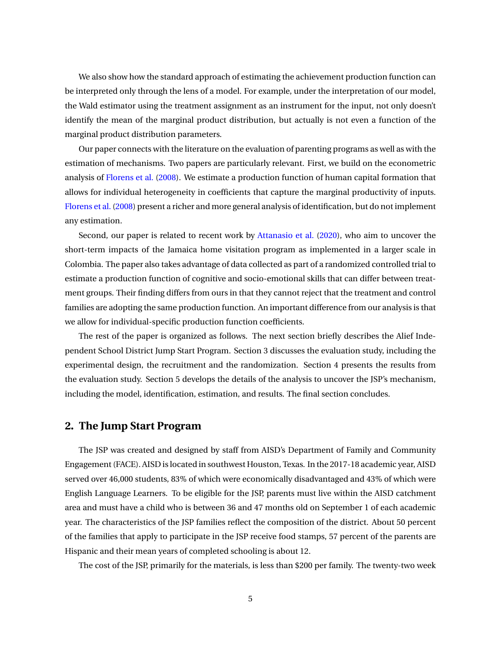We also show how the standard approach of estimating the achievement production function can be interpreted only through the lens of a model. For example, under the interpretation of our model, the Wald estimator using the treatment assignment as an instrument for the input, not only doesn't identify the mean of the marginal product distribution, but actually is not even a function of the marginal product distribution parameters.

Our paper connects with the literature on the evaluation of parenting programs as well as with the estimation of mechanisms. Two papers are particularly relevant. First, we build on the econometric analysis of [Florens et al.](#page-22-9) [\(2008\)](#page-22-9). We estimate a production function of human capital formation that allows for individual heterogeneity in coefficients that capture the marginal productivity of inputs. [Florens et al.](#page-22-9) [\(2008\)](#page-22-9) present a richer and more general analysis of identification, but do not implement any estimation.

Second, our paper is related to recent work by [Attanasio et al.](#page-22-10) [\(2020\)](#page-22-10), who aim to uncover the short-term impacts of the Jamaica home visitation program as implemented in a larger scale in Colombia. The paper also takes advantage of data collected as part of a randomized controlled trial to estimate a production function of cognitive and socio-emotional skills that can differ between treatment groups. Their finding differs from ours in that they cannot reject that the treatment and control families are adopting the same production function. An important difference from our analysis is that we allow for individual-specific production function coefficients.

The rest of the paper is organized as follows. The next section briefly describes the Alief Independent School District Jump Start Program. Section 3 discusses the evaluation study, including the experimental design, the recruitment and the randomization. Section 4 presents the results from the evaluation study. Section 5 develops the details of the analysis to uncover the JSP's mechanism, including the model, identification, estimation, and results. The final section concludes.

## **2. The Jump Start Program**

The JSP was created and designed by staff from AISD's Department of Family and Community Engagement (FACE). AISD is located in southwest Houston, Texas. In the 2017-18 academic year, AISD served over 46,000 students, 83% of which were economically disadvantaged and 43% of which were English Language Learners. To be eligible for the JSP, parents must live within the AISD catchment area and must have a child who is between 36 and 47 months old on September 1 of each academic year. The characteristics of the JSP families reflect the composition of the district. About 50 percent of the families that apply to participate in the JSP receive food stamps, 57 percent of the parents are Hispanic and their mean years of completed schooling is about 12.

The cost of the JSP, primarily for the materials, is less than \$200 per family. The twenty-two week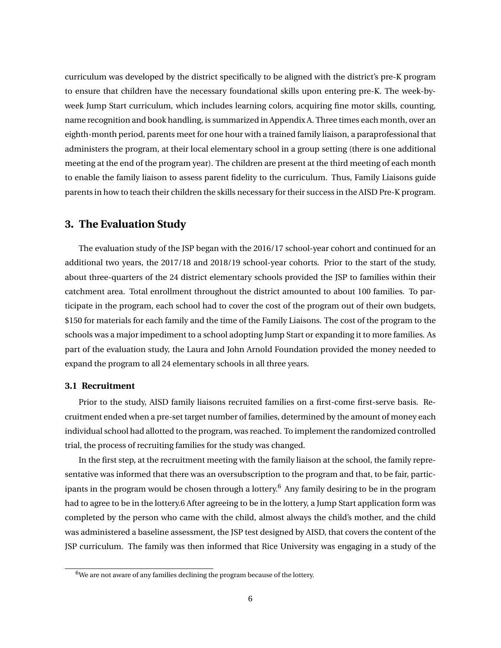curriculum was developed by the district specifically to be aligned with the district's pre-K program to ensure that children have the necessary foundational skills upon entering pre-K. The week-byweek Jump Start curriculum, which includes learning colors, acquiring fine motor skills, counting, name recognition and book handling, is summarized in Appendix A. Three times each month, over an eighth-month period, parents meet for one hour with a trained family liaison, a paraprofessional that administers the program, at their local elementary school in a group setting (there is one additional meeting at the end of the program year). The children are present at the third meeting of each month to enable the family liaison to assess parent fidelity to the curriculum. Thus, Family Liaisons guide parents in how to teach their children the skills necessary for their success in the AISD Pre-K program.

## **3. The Evaluation Study**

The evaluation study of the JSP began with the 2016/17 school-year cohort and continued for an additional two years, the 2017/18 and 2018/19 school-year cohorts. Prior to the start of the study, about three-quarters of the 24 district elementary schools provided the JSP to families within their catchment area. Total enrollment throughout the district amounted to about 100 families. To participate in the program, each school had to cover the cost of the program out of their own budgets, \$150 for materials for each family and the time of the Family Liaisons. The cost of the program to the schools was a major impediment to a school adopting Jump Start or expanding it to more families. As part of the evaluation study, the Laura and John Arnold Foundation provided the money needed to expand the program to all 24 elementary schools in all three years.

#### **3.1 Recruitment**

Prior to the study, AISD family liaisons recruited families on a first-come first-serve basis. Recruitment ended when a pre-set target number of families, determined by the amount of money each individual school had allotted to the program, was reached. To implement the randomized controlled trial, the process of recruiting families for the study was changed.

In the first step, at the recruitment meeting with the family liaison at the school, the family representative was informed that there was an oversubscription to the program and that, to be fair, partic-ipants in the program would be chosen through a lottery.<sup>[6](#page-6-0)</sup> Any family desiring to be in the program had to agree to be in the lottery.6 After agreeing to be in the lottery, a Jump Start application form was completed by the person who came with the child, almost always the child's mother, and the child was administered a baseline assessment, the JSP test designed by AISD, that covers the content of the JSP curriculum. The family was then informed that Rice University was engaging in a study of the

<span id="page-6-0"></span> $6$ We are not aware of any families declining the program because of the lottery.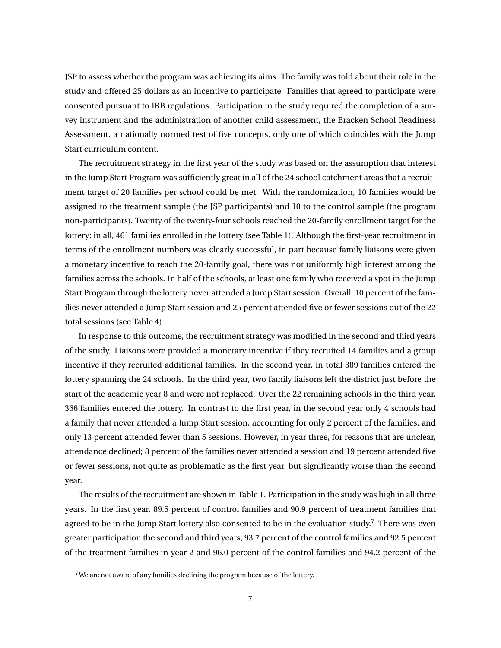JSP to assess whether the program was achieving its aims. The family was told about their role in the study and offered 25 dollars as an incentive to participate. Families that agreed to participate were consented pursuant to IRB regulations. Participation in the study required the completion of a survey instrument and the administration of another child assessment, the Bracken School Readiness Assessment, a nationally normed test of five concepts, only one of which coincides with the Jump Start curriculum content.

The recruitment strategy in the first year of the study was based on the assumption that interest in the Jump Start Program was sufficiently great in all of the 24 school catchment areas that a recruitment target of 20 families per school could be met. With the randomization, 10 families would be assigned to the treatment sample (the JSP participants) and 10 to the control sample (the program non-participants). Twenty of the twenty-four schools reached the 20-family enrollment target for the lottery; in all, 461 families enrolled in the lottery (see Table [1\)](#page-24-0). Although the first-year recruitment in terms of the enrollment numbers was clearly successful, in part because family liaisons were given a monetary incentive to reach the 20-family goal, there was not uniformly high interest among the families across the schools. In half of the schools, at least one family who received a spot in the Jump Start Program through the lottery never attended a Jump Start session. Overall, 10 percent of the families never attended a Jump Start session and 25 percent attended five or fewer sessions out of the 22 total sessions (see Table [4\)](#page-27-0).

In response to this outcome, the recruitment strategy was modified in the second and third years of the study. Liaisons were provided a monetary incentive if they recruited 14 families and a group incentive if they recruited additional families. In the second year, in total 389 families entered the lottery spanning the 24 schools. In the third year, two family liaisons left the district just before the start of the academic year 8 and were not replaced. Over the 22 remaining schools in the third year, 366 families entered the lottery. In contrast to the first year, in the second year only 4 schools had a family that never attended a Jump Start session, accounting for only 2 percent of the families, and only 13 percent attended fewer than 5 sessions. However, in year three, for reasons that are unclear, attendance declined; 8 percent of the families never attended a session and 19 percent attended five or fewer sessions, not quite as problematic as the first year, but significantly worse than the second year.

The results of the recruitment are shown in Table [1.](#page-24-0) Participation in the study was high in all three years. In the first year, 89.5 percent of control families and 90.9 percent of treatment families that agreed to be in the Jump Start lottery also consented to be in the evaluation study.<sup>[7](#page-7-0)</sup> There was even greater participation the second and third years, 93.7 percent of the control families and 92.5 percent of the treatment families in year 2 and 96.0 percent of the control families and 94.2 percent of the

<span id="page-7-0"></span><sup>&</sup>lt;sup>7</sup>We are not aware of any families declining the program because of the lottery.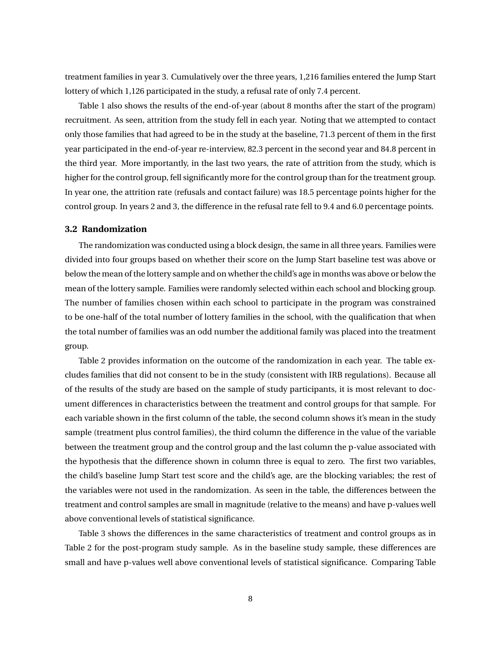treatment families in year 3. Cumulatively over the three years, 1,216 families entered the Jump Start lottery of which 1,126 participated in the study, a refusal rate of only 7.4 percent.

Table [1](#page-24-0) also shows the results of the end-of-year (about 8 months after the start of the program) recruitment. As seen, attrition from the study fell in each year. Noting that we attempted to contact only those families that had agreed to be in the study at the baseline, 71.3 percent of them in the first year participated in the end-of-year re-interview, 82.3 percent in the second year and 84.8 percent in the third year. More importantly, in the last two years, the rate of attrition from the study, which is higher for the control group, fell significantly more for the control group than for the treatment group. In year one, the attrition rate (refusals and contact failure) was 18.5 percentage points higher for the control group. In years 2 and 3, the difference in the refusal rate fell to 9.4 and 6.0 percentage points.

#### **3.2 Randomization**

The randomization was conducted using a block design, the same in all three years. Families were divided into four groups based on whether their score on the Jump Start baseline test was above or below the mean of the lottery sample and on whether the child's age in months was above or below the mean of the lottery sample. Families were randomly selected within each school and blocking group. The number of families chosen within each school to participate in the program was constrained to be one-half of the total number of lottery families in the school, with the qualification that when the total number of families was an odd number the additional family was placed into the treatment group.

Table 2 provides information on the outcome of the randomization in each year. The table excludes families that did not consent to be in the study (consistent with IRB regulations). Because all of the results of the study are based on the sample of study participants, it is most relevant to document differences in characteristics between the treatment and control groups for that sample. For each variable shown in the first column of the table, the second column shows it's mean in the study sample (treatment plus control families), the third column the difference in the value of the variable between the treatment group and the control group and the last column the p-value associated with the hypothesis that the difference shown in column three is equal to zero. The first two variables, the child's baseline Jump Start test score and the child's age, are the blocking variables; the rest of the variables were not used in the randomization. As seen in the table, the differences between the treatment and control samples are small in magnitude (relative to the means) and have p-values well above conventional levels of statistical significance.

Table [3](#page-26-0) shows the differences in the same characteristics of treatment and control groups as in Table [2](#page-25-0) for the post-program study sample. As in the baseline study sample, these differences are small and have p-values well above conventional levels of statistical significance. Comparing Table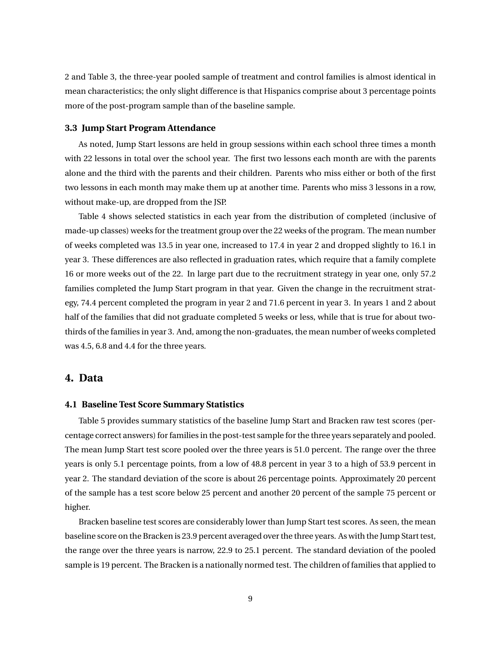[2](#page-25-0) and Table [3,](#page-26-0) the three-year pooled sample of treatment and control families is almost identical in mean characteristics; the only slight difference is that Hispanics comprise about 3 percentage points more of the post-program sample than of the baseline sample.

## **3.3 Jump Start Program Attendance**

As noted, Jump Start lessons are held in group sessions within each school three times a month with 22 lessons in total over the school year. The first two lessons each month are with the parents alone and the third with the parents and their children. Parents who miss either or both of the first two lessons in each month may make them up at another time. Parents who miss 3 lessons in a row, without make-up, are dropped from the JSP.

Table [4](#page-27-0) shows selected statistics in each year from the distribution of completed (inclusive of made-up classes) weeks for the treatment group over the 22 weeks of the program. The mean number of weeks completed was 13.5 in year one, increased to 17.4 in year 2 and dropped slightly to 16.1 in year 3. These differences are also reflected in graduation rates, which require that a family complete 16 or more weeks out of the 22. In large part due to the recruitment strategy in year one, only 57.2 families completed the Jump Start program in that year. Given the change in the recruitment strategy, 74.4 percent completed the program in year 2 and 71.6 percent in year 3. In years 1 and 2 about half of the families that did not graduate completed 5 weeks or less, while that is true for about twothirds of the families in year 3. And, among the non-graduates, the mean number of weeks completed was 4.5, 6.8 and 4.4 for the three years.

## **4. Data**

#### **4.1 Baseline Test Score Summary Statistics**

Table [5](#page-27-1) provides summary statistics of the baseline Jump Start and Bracken raw test scores (percentage correct answers) for families in the post-test sample for the three years separately and pooled. The mean Jump Start test score pooled over the three years is 51.0 percent. The range over the three years is only 5.1 percentage points, from a low of 48.8 percent in year 3 to a high of 53.9 percent in year 2. The standard deviation of the score is about 26 percentage points. Approximately 20 percent of the sample has a test score below 25 percent and another 20 percent of the sample 75 percent or higher.

Bracken baseline test scores are considerably lower than Jump Start test scores. As seen, the mean baseline score on the Bracken is 23.9 percent averaged over the three years. As with the Jump Start test, the range over the three years is narrow, 22.9 to 25.1 percent. The standard deviation of the pooled sample is 19 percent. The Bracken is a nationally normed test. The children of families that applied to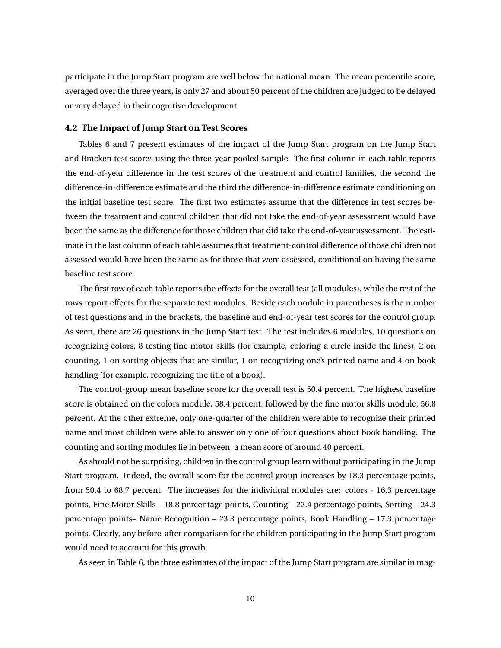participate in the Jump Start program are well below the national mean. The mean percentile score, averaged over the three years, is only 27 and about 50 percent of the children are judged to be delayed or very delayed in their cognitive development.

## **4.2 The Impact of Jump Start on Test Scores**

Tables 6 and 7 present estimates of the impact of the Jump Start program on the Jump Start and Bracken test scores using the three-year pooled sample. The first column in each table reports the end-of-year difference in the test scores of the treatment and control families, the second the difference-in-difference estimate and the third the difference-in-difference estimate conditioning on the initial baseline test score. The first two estimates assume that the difference in test scores between the treatment and control children that did not take the end-of-year assessment would have been the same as the difference for those children that did take the end-of-year assessment. The estimate in the last column of each table assumes that treatment-control difference of those children not assessed would have been the same as for those that were assessed, conditional on having the same baseline test score.

The first row of each table reports the effects for the overall test (all modules), while the rest of the rows report effects for the separate test modules. Beside each nodule in parentheses is the number of test questions and in the brackets, the baseline and end-of-year test scores for the control group. As seen, there are 26 questions in the Jump Start test. The test includes 6 modules, 10 questions on recognizing colors, 8 testing fine motor skills (for example, coloring a circle inside the lines), 2 on counting, 1 on sorting objects that are similar, 1 on recognizing one's printed name and 4 on book handling (for example, recognizing the title of a book).

The control-group mean baseline score for the overall test is 50.4 percent. The highest baseline score is obtained on the colors module, 58.4 percent, followed by the fine motor skills module, 56.8 percent. At the other extreme, only one-quarter of the children were able to recognize their printed name and most children were able to answer only one of four questions about book handling. The counting and sorting modules lie in between, a mean score of around 40 percent.

As should not be surprising, children in the control group learn without participating in the Jump Start program. Indeed, the overall score for the control group increases by 18.3 percentage points, from 50.4 to 68.7 percent. The increases for the individual modules are: colors - 16.3 percentage points, Fine Motor Skills – 18.8 percentage points, Counting – 22.4 percentage points, Sorting – 24.3 percentage points– Name Recognition – 23.3 percentage points, Book Handling – 17.3 percentage points. Clearly, any before-after comparison for the children participating in the Jump Start program would need to account for this growth.

As seen in Table [6,](#page-28-0) the three estimates of the impact of the Jump Start program are similar in mag-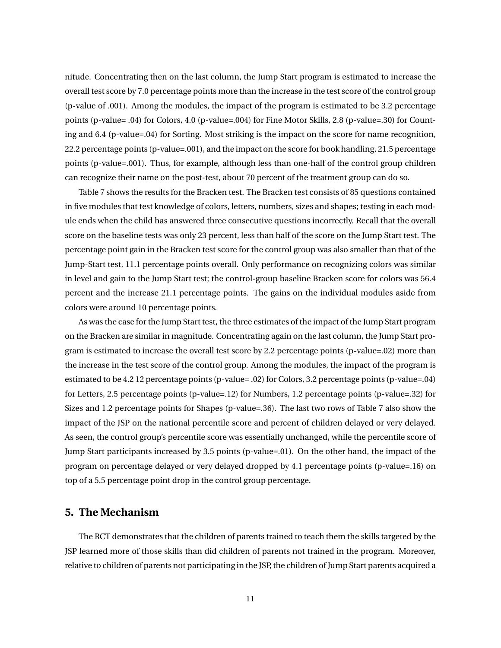nitude. Concentrating then on the last column, the Jump Start program is estimated to increase the overall test score by 7.0 percentage points more than the increase in the test score of the control group (p-value of .001). Among the modules, the impact of the program is estimated to be 3.2 percentage points (p-value= .04) for Colors, 4.0 (p-value=.004) for Fine Motor Skills, 2.8 (p-value=.30) for Counting and 6.4 (p-value=.04) for Sorting. Most striking is the impact on the score for name recognition, 22.2 percentage points (p-value=.001), and the impact on the score for book handling, 21.5 percentage points (p-value=.001). Thus, for example, although less than one-half of the control group children can recognize their name on the post-test, about 70 percent of the treatment group can do so.

Table [7](#page-29-0) shows the results for the Bracken test. The Bracken test consists of 85 questions contained in five modules that test knowledge of colors, letters, numbers, sizes and shapes; testing in each module ends when the child has answered three consecutive questions incorrectly. Recall that the overall score on the baseline tests was only 23 percent, less than half of the score on the Jump Start test. The percentage point gain in the Bracken test score for the control group was also smaller than that of the Jump-Start test, 11.1 percentage points overall. Only performance on recognizing colors was similar in level and gain to the Jump Start test; the control-group baseline Bracken score for colors was 56.4 percent and the increase 21.1 percentage points. The gains on the individual modules aside from colors were around 10 percentage points.

As was the case for the Jump Start test, the three estimates of the impact of the Jump Start program on the Bracken are similar in magnitude. Concentrating again on the last column, the Jump Start program is estimated to increase the overall test score by 2.2 percentage points (p-value=.02) more than the increase in the test score of the control group. Among the modules, the impact of the program is estimated to be 4.2 12 percentage points (p-value= .02) for Colors, 3.2 percentage points (p-value=.04) for Letters, 2.5 percentage points (p-value=.12) for Numbers, 1.2 percentage points (p-value=.32) for Sizes and 1.2 percentage points for Shapes (p-value=.36). The last two rows of Table [7](#page-29-0) also show the impact of the JSP on the national percentile score and percent of children delayed or very delayed. As seen, the control group's percentile score was essentially unchanged, while the percentile score of Jump Start participants increased by 3.5 points (p-value=.01). On the other hand, the impact of the program on percentage delayed or very delayed dropped by 4.1 percentage points (p-value=.16) on top of a 5.5 percentage point drop in the control group percentage.

## **5. The Mechanism**

The RCT demonstrates that the children of parents trained to teach them the skills targeted by the JSP learned more of those skills than did children of parents not trained in the program. Moreover, relative to children of parents not participating in the JSP, the children of Jump Start parents acquired a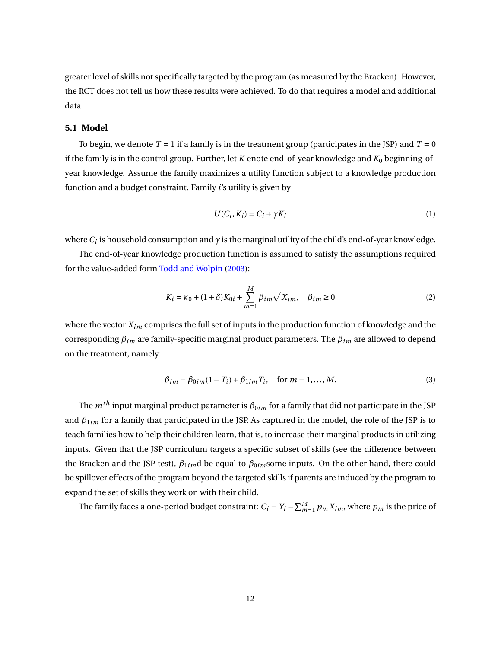greater level of skills not specifically targeted by the program (as measured by the Bracken). However, the RCT does not tell us how these results were achieved. To do that requires a model and additional data.

#### **5.1 Model**

To begin, we denote  $T = 1$  if a family is in the treatment group (participates in the JSP) and  $T = 0$ if the family is in the control group. Further, let  $K$  enote end-of-year knowledge and  $K_0$  beginning-ofyear knowledge. Assume the family maximizes a utility function subject to a knowledge production function and a budget constraint. Family *i*'s utility is given by

<span id="page-12-1"></span>
$$
U(C_i, K_i) = C_i + \gamma K_i
$$
 (1)

where  $C_i$  is household consumption and  $\gamma$  is the marginal utility of the child's end-of-year knowledge.

The end-of-year knowledge production function is assumed to satisfy the assumptions required for the value-added form [Todd and Wolpin](#page-23-6) [\(2003\)](#page-23-6):

<span id="page-12-0"></span>
$$
K_i = \kappa_0 + (1 + \delta)K_{0i} + \sum_{m=1}^{M} \beta_{im} \sqrt{X_{im}}, \quad \beta_{im} \ge 0
$$
 (2)

where the vector *Xim* comprises the full set of inputs in the production function of knowledge and the corresponding *βim* are family-specific marginal product parameters. The *βim* are allowed to depend on the treatment, namely:

$$
\beta_{im} = \beta_{0im}(1 - T_i) + \beta_{1im}T_i, \quad \text{for } m = 1, ..., M.
$$
 (3)

The  $m^{th}$  input marginal product parameter is  $\beta_{0im}$  for a family that did not participate in the JSP and *β*1*im* for a family that participated in the JSP. As captured in the model, the role of the JSP is to teach families how to help their children learn, that is, to increase their marginal products in utilizing inputs. Given that the JSP curriculum targets a specific subset of skills (see the difference between the Bracken and the JSP test), *β*1*im*d be equal to *β*0*im*some inputs. On the other hand, there could be spillover effects of the program beyond the targeted skills if parents are induced by the program to expand the set of skills they work on with their child.

The family faces a one-period budget constraint:  $C_i = Y_i - \sum_{m=1}^{M} p_m X_{im}$ , where  $p_m$  is the price of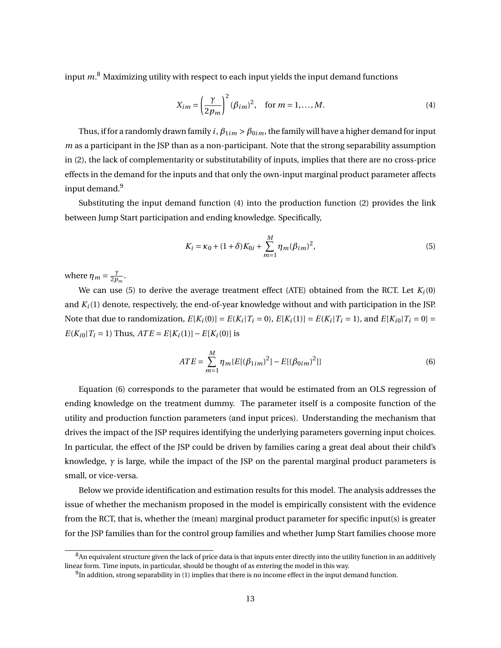input *m*. [8](#page-13-0) Maximizing utility with respect to each input yields the input demand functions

<span id="page-13-2"></span>
$$
X_{im} = \left(\frac{\gamma}{2p_m}\right)^2 (\beta_{im})^2, \quad \text{for } m = 1, \dots, M.
$$
 (4)

Thus, if for a randomly drawn family *i*,  $\beta_{1im} > \beta_{0im}$ , the family will have a higher demand for input *m* as a participant in the JSP than as a non-participant. Note that the strong separability assumption in [\(2\)](#page-12-0), the lack of complementarity or substitutability of inputs, implies that there are no cross-price effects in the demand for the inputs and that only the own-input marginal product parameter affects input demand.<sup>[9](#page-13-1)</sup>

Substituting the input demand function [\(4\)](#page-13-2) into the production function [\(2\)](#page-12-0) provides the link between Jump Start participation and ending knowledge. Specifically,

<span id="page-13-3"></span>
$$
K_i = \kappa_0 + (1 + \delta)K_{0i} + \sum_{m=1}^{M} \eta_m (\beta_{im})^2,
$$
\n(5)

where  $\eta_m = \frac{\gamma}{2n}$  $rac{1}{2p_m}$ .

We can use [\(5\)](#page-13-3) to derive the average treatment effect (ATE) obtained from the RCT. Let  $K_i(0)$ and  $K_i(1)$  denote, respectively, the end-of-year knowledge without and with participation in the JSP. Note that due to randomization,  $E[K_i(0)] = E(K_i | T_i = 0)$ ,  $E[K_i(1)] = E(K_i | T_i = 1)$ , and  $E[K_{i0} | T_i = 0] =$  $E(K_{i0}|T_{i}=1)$  Thus,  $ATE = E[K_{i}(1)] - E[K_{i}(0)]$  is

<span id="page-13-4"></span>
$$
ATE = \sum_{m=1}^{M} \eta_m \{ E[(\beta_{1im})^2] - E[(\beta_{0im})^2] \}
$$
 (6)

Equation [\(6\)](#page-13-4) corresponds to the parameter that would be estimated from an OLS regression of ending knowledge on the treatment dummy. The parameter itself is a composite function of the utility and production function parameters (and input prices). Understanding the mechanism that drives the impact of the JSP requires identifying the underlying parameters governing input choices. In particular, the effect of the JSP could be driven by families caring a great deal about their child's knowledge, *γ* is large, while the impact of the JSP on the parental marginal product parameters is small, or vice-versa.

Below we provide identification and estimation results for this model. The analysis addresses the issue of whether the mechanism proposed in the model is empirically consistent with the evidence from the RCT, that is, whether the (mean) marginal product parameter for specific input(s) is greater for the JSP families than for the control group families and whether Jump Start families choose more

<span id="page-13-0"></span> $8$ An equivalent structure given the lack of price data is that inputs enter directly into the utility function in an additively linear form. Time inputs, in particular, should be thought of as entering the model in this way.

<span id="page-13-1"></span> $^9$ In addition, strong separability in [\(1\)](#page-12-1) implies that there is no income effect in the input demand function.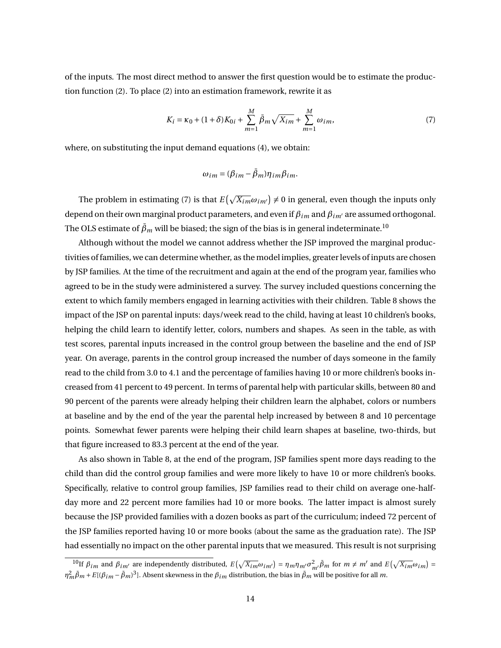of the inputs. The most direct method to answer the first question would be to estimate the production function [\(2\)](#page-12-0). To place [\(2\)](#page-12-0) into an estimation framework, rewrite it as

<span id="page-14-0"></span>
$$
K_i = \kappa_0 + (1 + \delta)K_{0i} + \sum_{m=1}^{M} \bar{\beta}_m \sqrt{X_{im}} + \sum_{m=1}^{M} \omega_{im},
$$
\n(7)

where, on substituting the input demand equations [\(4\)](#page-13-2), we obtain:

$$
\omega_{im} = (\beta_{im} - \bar{\beta}_m) \eta_{im} \beta_{im}.
$$

The problem in estimating [\(7\)](#page-14-0) is that  $E\big(\sqrt{X_{im}}\omega_{\mathit{im}'}\big) \neq 0$  in general, even though the inputs only depend on their own marginal product parameters, and even if  $β<sub>im</sub>$  and  $β<sub>im'</sub>$  are assumed orthogonal. The OLS estimate of  $\bar{\beta}_m$  will be biased; the sign of the bias is in general indeterminate.<sup>[10](#page-14-1)</sup>

Although without the model we cannot address whether the JSP improved the marginal productivities of families, we can determine whether, as the model implies, greater levels of inputs are chosen by JSP families. At the time of the recruitment and again at the end of the program year, families who agreed to be in the study were administered a survey. The survey included questions concerning the extent to which family members engaged in learning activities with their children. Table [8](#page-30-0) shows the impact of the JSP on parental inputs: days/week read to the child, having at least 10 children's books, helping the child learn to identify letter, colors, numbers and shapes. As seen in the table, as with test scores, parental inputs increased in the control group between the baseline and the end of JSP year. On average, parents in the control group increased the number of days someone in the family read to the child from 3.0 to 4.1 and the percentage of families having 10 or more children's books increased from 41 percent to 49 percent. In terms of parental help with particular skills, between 80 and 90 percent of the parents were already helping their children learn the alphabet, colors or numbers at baseline and by the end of the year the parental help increased by between 8 and 10 percentage points. Somewhat fewer parents were helping their child learn shapes at baseline, two-thirds, but that figure increased to 83.3 percent at the end of the year.

As also shown in Table [8,](#page-30-0) at the end of the program, JSP families spent more days reading to the child than did the control group families and were more likely to have 10 or more children's books. Specifically, relative to control group families, JSP families read to their child on average one-halfday more and 22 percent more families had 10 or more books. The latter impact is almost surely because the JSP provided families with a dozen books as part of the curriculum; indeed 72 percent of the JSP families reported having 10 or more books (about the same as the graduation rate). The JSP had essentially no impact on the other parental inputs that we measured. This result is not surprising

<span id="page-14-1"></span><sup>&</sup>lt;sup>10</sup>If  $\beta_{im}$  and  $\beta_{im'}$  are independently distributed,  $E(\sqrt{X_{im}}\omega_{im'}) = \eta_m \eta_{m'} \sigma_{m'}^2 \bar{\beta}_m$  for  $m \neq m'$  and  $E(\sqrt{X_{im}}\omega_{im}) =$  $\eta_m^2\bar{\beta}_m+E[(\beta_{im}-\bar{\beta}_m)^3]$ . Absent skewness in the  $\beta_{im}$  distribution, the bias in  $\bar{\beta}_m$  will be positive for all  $m$ .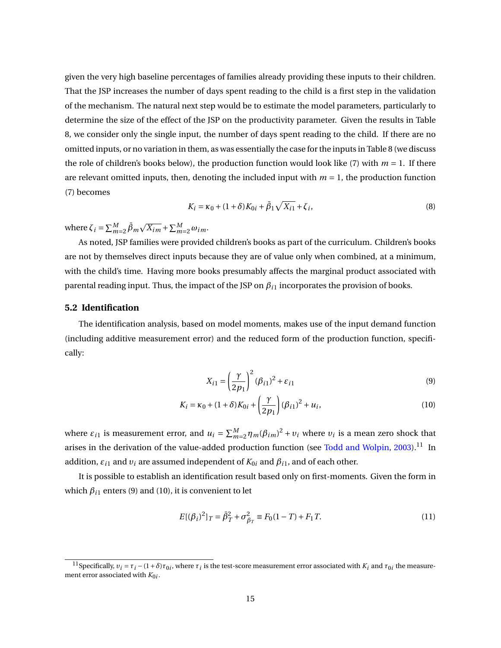given the very high baseline percentages of families already providing these inputs to their children. That the JSP increases the number of days spent reading to the child is a first step in the validation of the mechanism. The natural next step would be to estimate the model parameters, particularly to determine the size of the effect of the JSP on the productivity parameter. Given the results in Table [8,](#page-30-0) we consider only the single input, the number of days spent reading to the child. If there are no omitted inputs, or no variation in them, as was essentially the case for the inputs in Table [8](#page-30-0) (we discuss the role of children's books below), the production function would look like [\(7\)](#page-14-0) with  $m = 1$ . If there are relevant omitted inputs, then, denoting the included input with  $m = 1$ , the production function [\(7\)](#page-14-0) becomes

$$
K_i = \kappa_0 + (1 + \delta) K_{0i} + \bar{\beta}_1 \sqrt{X_{i1}} + \zeta_i,
$$
\n(8)

where  $\zeta_i = \sum_{m=2}^{M} \bar{\beta}_m \sqrt{X_{im}} + \sum_{m=2}^{M} \omega_{im}$ .

As noted, JSP families were provided children's books as part of the curriculum. Children's books are not by themselves direct inputs because they are of value only when combined, at a minimum, with the child's time. Having more books presumably affects the marginal product associated with parental reading input. Thus, the impact of the JSP on *βi*<sup>1</sup> incorporates the provision of books.

## **5.2 Identification**

The identification analysis, based on model moments, makes use of the input demand function (including additive measurement error) and the reduced form of the production function, specifically:

<span id="page-15-2"></span><span id="page-15-1"></span>
$$
X_{i1} = \left(\frac{\gamma}{2p_1}\right)^2 (\beta_{i1})^2 + \varepsilon_{i1}
$$
\n(9)

$$
K_i = \kappa_0 + (1 + \delta)K_{0i} + \left(\frac{\gamma}{2p_1}\right)(\beta_{i1})^2 + u_i,
$$
\n(10)

where  $\varepsilon_{i1}$  is measurement error, and  $u_i = \sum_{m=2}^{M} \eta_m (\beta_{im})^2 + v_i$  where  $v_i$  is a mean zero shock that arises in the derivation of the value-added production function (see [Todd and Wolpin,](#page-23-6) [2003\)](#page-23-6).<sup>[11](#page-15-0)</sup> In addition,  $\varepsilon_{i1}$  and  $v_i$  are assumed independent of  $K_{0i}$  and  $\beta_{i1}$ , and of each other.

It is possible to establish an identification result based only on first-moments. Given the form in which  $\beta_{i1}$  enters [\(9\)](#page-15-1) and [\(10\)](#page-15-2), it is convenient to let

$$
E[(\beta_i)^2]_T = \bar{\beta}_T^2 + \sigma_{\beta_T}^2 \equiv F_0(1 - T) + F_1 T.
$$
 (11)

<span id="page-15-0"></span><sup>&</sup>lt;sup>11</sup>Specifically,  $v_i = \tau_i - (1+\delta)\tau_{0i}$ , where  $\tau_i$  is the test-score measurement error associated with  $K_i$  and  $\tau_{0i}$  the measurement error associated with  $K_{0i}$ .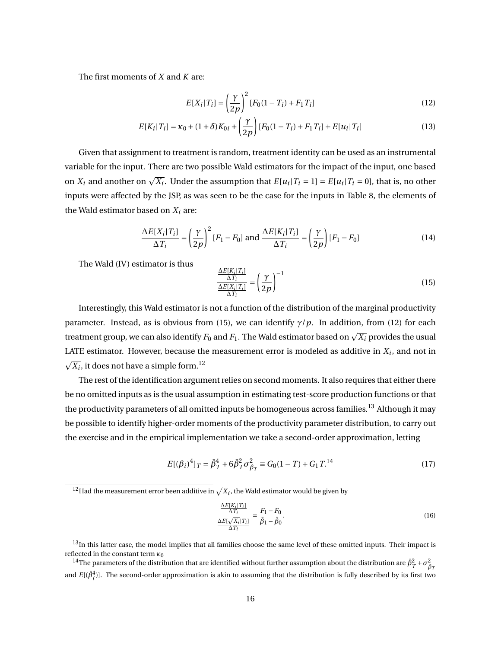The first moments of *X* and *K* are:

<span id="page-16-5"></span><span id="page-16-1"></span>
$$
E[X_i | T_i] = \left(\frac{\gamma}{2p}\right)^2 [F_0(1 - T_i) + F_1 T_i]
$$
\n(12)

$$
E[K_i|T_i] = \kappa_0 + (1+\delta)K_{0i} + \left(\frac{\gamma}{2p}\right)[F_0(1-T_i) + F_1T_i] + E[u_i|T_i]
$$
\n(13)

Given that assignment to treatment is random, treatment identity can be used as an instrumental variable for the input. There are two possible Wald estimators for the impact of the input, one based on  $X_i$  and another on  $\sqrt{X_i}$ . Under the assumption that  $E[u_i|T_i = 1] = E[u_i|T_i = 0]$ , that is, no other inputs were affected by the JSP, as was seen to be the case for the inputs in Table [8,](#page-30-0) the elements of the Wald estimator based on  $X_i$  are:

$$
\frac{\Delta E[X_i|T_i]}{\Delta T_i} = \left(\frac{\gamma}{2p}\right)^2 \left[F_1 - F_0\right] \text{ and } \frac{\Delta E[K_i|T_i]}{\Delta T_i} = \left(\frac{\gamma}{2p}\right) \left[F_1 - F_0\right] \tag{14}
$$

The Wald (IV) estimator is thus

<span id="page-16-0"></span>
$$
\frac{\frac{\Delta E[K_i|T_i]}{\Delta T_i}}{\frac{\Delta E[X_i|T_i]}{\Delta T_i}} = \left(\frac{\gamma}{2p}\right)^{-1} \tag{15}
$$

Interestingly, this Wald estimator is not a function of the distribution of the marginal productivity parameter. Instead, as is obvious from [\(15\)](#page-16-0), we can identify  $\gamma/p$ . In addition, from [\(12\)](#page-16-1) for each treatment group, we can also identify  $F_0$  and  $F_1$ . The Wald estimator based on  $\sqrt{X_i}$  provides the usual LATE estimator. However, because the measurement error is modeled as additive in  $X_i$ , and not in p  $\overline{X_i}$ , it does not have a simple form. $^{12}$  $^{12}$  $^{12}$ 

The rest of the identification argument relies on second moments. It also requires that either there be no omitted inputs as is the usual assumption in estimating test-score production functions or that the productivity parameters of all omitted inputs be homogeneous across families.<sup>[13](#page-16-3)</sup> Although it may be possible to identify higher-order moments of the productivity parameter distribution, to carry out the exercise and in the empirical implementation we take a second-order approximation, letting

$$
E[(\beta_i)^4]_T = \bar{\beta}_T^4 + 6\bar{\beta}_T^2 \sigma_{\beta_T}^2 \equiv G_0(1 - T) + G_1 T^{14}.
$$
 (17)

<span id="page-16-2"></span> $^{12}$ Had the measurement error been additive in  $\sqrt{X_i}$ , the Wald estimator would be given by

$$
\frac{\frac{\Delta E[K_i|T_i]}{\Delta T_i}}{\frac{\Delta E[\sqrt{X_i}|T_i]}{\Delta T_i}} = \frac{F_1 - F_0}{\bar{\beta}_1 - \bar{\beta}_0}.\tag{16}
$$

<span id="page-16-3"></span> $13$ In this latter case, the model implies that all families choose the same level of these omitted inputs. Their impact is reflected in the constant term *κ*0

<span id="page-16-4"></span><sup>&</sup>lt;sup>14</sup>The parameters of the distribution that are identified without further assumption about the distribution are  $\bar{\beta}_T^2+\sigma_{\beta_T}^2$ and  $E[(\bar{\beta}_i^4)]$ . The second-order approximation is akin to assuming that the distribution is fully described by its first two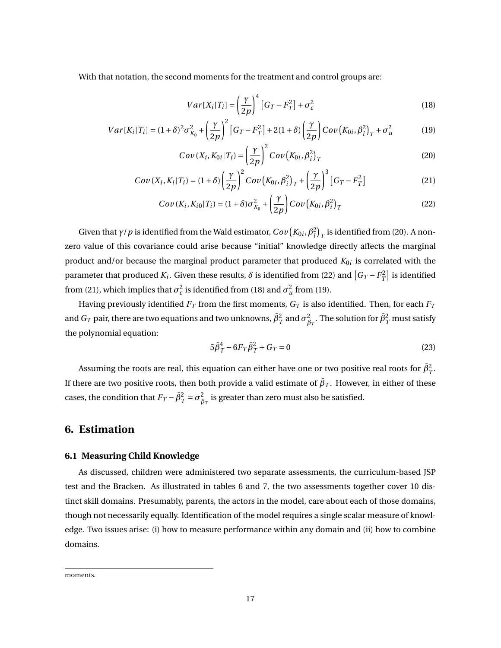With that notation, the second moments for the treatment and control groups are:

<span id="page-17-4"></span><span id="page-17-3"></span><span id="page-17-0"></span>
$$
Var[X_i|T_i] = \left(\frac{\gamma}{2p}\right)^4 \left[G_T - F_T^2\right] + \sigma_{\varepsilon}^2 \tag{18}
$$

$$
Var[K_i|T_i] = (1+\delta)^2 \sigma_{K_0}^2 + \left(\frac{\gamma}{2p}\right)^2 \left[G_T - F_T^2\right] + 2(1+\delta) \left(\frac{\gamma}{2p}\right) Cov\left(K_{0i}, \beta_i^2\right)_T + \sigma_u^2 \tag{19}
$$

<span id="page-17-2"></span><span id="page-17-1"></span>
$$
Cov(X_i, K_{0i} | T_i) = \left(\frac{\gamma}{2p}\right)^2 Cov\left(K_{0i}, \beta_i^2\right)_T
$$
\n(20)

$$
Cov(X_i, K_i | T_i) = (1 + \delta) \left(\frac{\gamma}{2p}\right)^2 Cov\left(K_{0i}, \beta_i^2\right)_T + \left(\frac{\gamma}{2p}\right)^3 \left[G_T - F_T^2\right]
$$
\n(21)

$$
Cov(K_i, K_{i0}|T_i) = (1+\delta)\sigma_{K_0}^2 + \left(\frac{\gamma}{2p}\right)Cov(K_{0i}, \beta_i^2)_T
$$
\n(22)

Given that  $\gamma/p$  is identified from the Wald estimator,  $Cov\left(K_{0i}, \beta_i^2\right)_T$  is identified from [\(20\)](#page-17-0). A nonzero value of this covariance could arise because "initial" knowledge directly affects the marginal product and/or because the marginal product parameter that produced  $K_{0i}$  is correlated with the parameter that produced  $K_i$ . Given these results,  $\delta$  is identified from [\(22\)](#page-17-1) and  $\left[G_T-P_T^2\right]$  is identified from [\(21\)](#page-17-2), which implies that  $\sigma_{\varepsilon}^2$  is identified from [\(18\)](#page-17-3) and  $\sigma_{u}^2$  from [\(19\)](#page-17-4).

Having previously identified  $F_T$  from the first moments,  $G_T$  is also identified. Then, for each  $F_T$ and  $G_T$  pair, there are two equations and two unknowns,  $\bar{\beta}_T^2$  and  $\sigma_{\beta}^2$  $^2_{\beta_T}.$  The solution for  $\bar{\beta}_T^2$  must satisfy the polynomial equation:

$$
5\bar{\beta}_T^4 - 6F_T\bar{\beta}_T^2 + G_T = 0\tag{23}
$$

Assuming the roots are real, this equation can either have one or two positive real roots for  $\bar{\beta}_T^2$ . If there are two positive roots, then both provide a valid estimate of  $\bar{\beta}_T$ . However, in either of these cases, the condition that  $F_T - \bar{\beta}_T^2 = \sigma_{\beta}^2$  $^2_{\beta_T}$  is greater than zero must also be satisfied.

## **6. Estimation**

#### **6.1 Measuring Child Knowledge**

As discussed, children were administered two separate assessments, the curriculum-based JSP test and the Bracken. As illustrated in tables 6 and 7, the two assessments together cover 10 distinct skill domains. Presumably, parents, the actors in the model, care about each of those domains, though not necessarily equally. Identification of the model requires a single scalar measure of knowledge. Two issues arise: (i) how to measure performance within any domain and (ii) how to combine domains.

moments.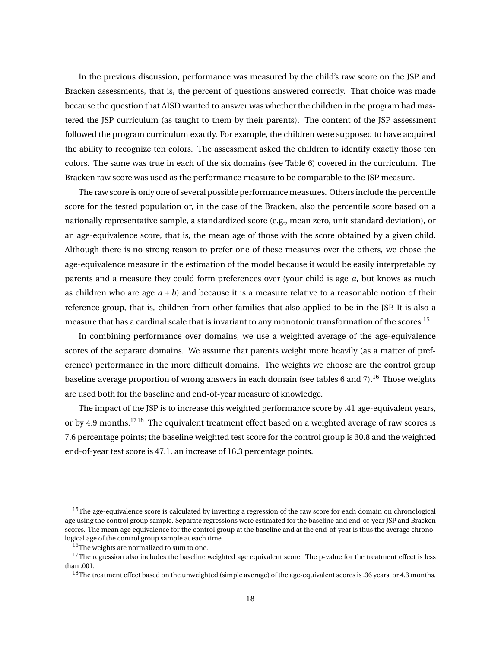In the previous discussion, performance was measured by the child's raw score on the JSP and Bracken assessments, that is, the percent of questions answered correctly. That choice was made because the question that AISD wanted to answer was whether the children in the program had mastered the JSP curriculum (as taught to them by their parents). The content of the JSP assessment followed the program curriculum exactly. For example, the children were supposed to have acquired the ability to recognize ten colors. The assessment asked the children to identify exactly those ten colors. The same was true in each of the six domains (see Table [6\)](#page-28-0) covered in the curriculum. The Bracken raw score was used as the performance measure to be comparable to the JSP measure.

The raw score is only one of several possible performance measures. Others include the percentile score for the tested population or, in the case of the Bracken, also the percentile score based on a nationally representative sample, a standardized score (e.g., mean zero, unit standard deviation), or an age-equivalence score, that is, the mean age of those with the score obtained by a given child. Although there is no strong reason to prefer one of these measures over the others, we chose the age-equivalence measure in the estimation of the model because it would be easily interpretable by parents and a measure they could form preferences over (your child is age *a*, but knows as much as children who are age  $a + b$ ) and because it is a measure relative to a reasonable notion of their reference group, that is, children from other families that also applied to be in the JSP. It is also a measure that has a cardinal scale that is invariant to any monotonic transformation of the scores.<sup>[15](#page-18-0)</sup>

In combining performance over domains, we use a weighted average of the age-equivalence scores of the separate domains. We assume that parents weight more heavily (as a matter of preference) performance in the more difficult domains. The weights we choose are the control group baseline average proportion of wrong answers in each domain (see tables 6 and 7).<sup>[16](#page-18-1)</sup> Those weights are used both for the baseline and end-of-year measure of knowledge.

The impact of the JSP is to increase this weighted performance score by .41 age-equivalent years, or by 4.9 months.<sup>[17](#page-18-2)[18](#page-18-3)</sup> The equivalent treatment effect based on a weighted average of raw scores is 7.6 percentage points; the baseline weighted test score for the control group is 30.8 and the weighted end-of-year test score is 47.1, an increase of 16.3 percentage points.

<span id="page-18-0"></span><sup>&</sup>lt;sup>15</sup>The age-equivalence score is calculated by inverting a regression of the raw score for each domain on chronological age using the control group sample. Separate regressions were estimated for the baseline and end-of-year JSP and Bracken scores. The mean age equivalence for the control group at the baseline and at the end-of-year is thus the average chronological age of the control group sample at each time.

<span id="page-18-2"></span><span id="page-18-1"></span><sup>&</sup>lt;sup>16</sup>The weights are normalized to sum to one.

 $17$ The regression also includes the baseline weighted age equivalent score. The p-value for the treatment effect is less than .001.

<span id="page-18-3"></span> $^{18}{\rm The}$  treatment effect based on the unweighted (simple average) of the age-equivalent scores is .36 years, or 4.3 months.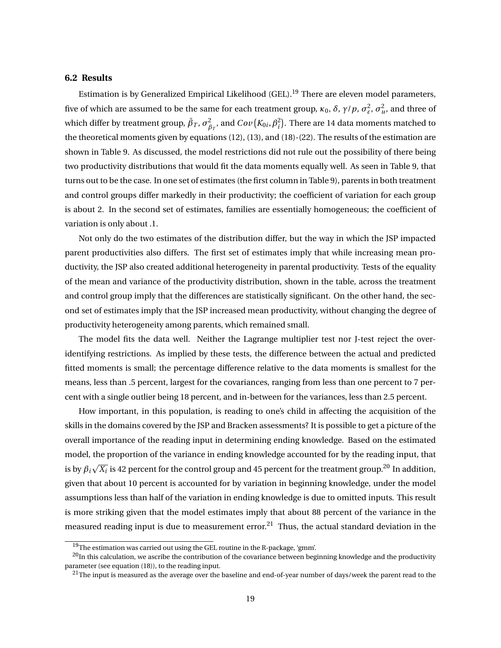### **6.2 Results**

Estimation is by Generalized Empirical Likelihood (GEL).<sup>[19](#page-19-0)</sup> There are eleven model parameters, five of which are assumed to be the same for each treatment group,  $\kappa_0$ ,  $\delta$ ,  $\gamma/p$ ,  $\sigma_\varepsilon^2$ ,  $\sigma_u^2$ , and three of which differ by treatment group,  $\bar{\beta}_T$ ,  $\sigma^2_{\vec{E}}$  $^2_{\beta_T}$ , and  $Cov\big(K_{0i},\beta_i^2\big)$ . There are 14 data moments matched to the theoretical moments given by equations [\(12\)](#page-16-1), [\(13\)](#page-16-5), and [\(18\)](#page-17-3)-[\(22\)](#page-17-1). The results of the estimation are shown in Table [9.](#page-31-0) As discussed, the model restrictions did not rule out the possibility of there being two productivity distributions that would fit the data moments equally well. As seen in Table [9,](#page-31-0) that turns out to be the case. In one set of estimates (the first column in Table [9\)](#page-31-0), parents in both treatment and control groups differ markedly in their productivity; the coefficient of variation for each group is about 2. In the second set of estimates, families are essentially homogeneous; the coefficient of variation is only about .1.

Not only do the two estimates of the distribution differ, but the way in which the JSP impacted parent productivities also differs. The first set of estimates imply that while increasing mean productivity, the JSP also created additional heterogeneity in parental productivity. Tests of the equality of the mean and variance of the productivity distribution, shown in the table, across the treatment and control group imply that the differences are statistically significant. On the other hand, the second set of estimates imply that the JSP increased mean productivity, without changing the degree of productivity heterogeneity among parents, which remained small.

The model fits the data well. Neither the Lagrange multiplier test nor J-test reject the overidentifying restrictions. As implied by these tests, the difference between the actual and predicted fitted moments is small; the percentage difference relative to the data moments is smallest for the means, less than .5 percent, largest for the covariances, ranging from less than one percent to 7 percent with a single outlier being 18 percent, and in-between for the variances, less than 2.5 percent.

How important, in this population, is reading to one's child in affecting the acquisition of the skills in the domains covered by the JSP and Bracken assessments? It is possible to get a picture of the overall importance of the reading input in determining ending knowledge. Based on the estimated model, the proportion of the variance in ending knowledge accounted for by the reading input, that is by *β<sup>i</sup>* p  $\overline{X_i}$  is 42 percent for the control group and 45 percent for the treatment group.<sup>[20](#page-19-1)</sup> In addition, given that about 10 percent is accounted for by variation in beginning knowledge, under the model assumptions less than half of the variation in ending knowledge is due to omitted inputs. This result is more striking given that the model estimates imply that about 88 percent of the variance in the measured reading input is due to measurement error.<sup>[21](#page-19-2)</sup> Thus, the actual standard deviation in the

<span id="page-19-1"></span><span id="page-19-0"></span> $19$ The estimation was carried out using the GEL routine in the R-package, 'gmm'.

 $^{20}$ In this calculation, we ascribe the contribution of the covariance between beginning knowledge and the productivity parameter (see equation [\(18\)](#page-17-3)), to the reading input.

<span id="page-19-2"></span><sup>&</sup>lt;sup>21</sup>The input is measured as the average over the baseline and end-of-year number of days/week the parent read to the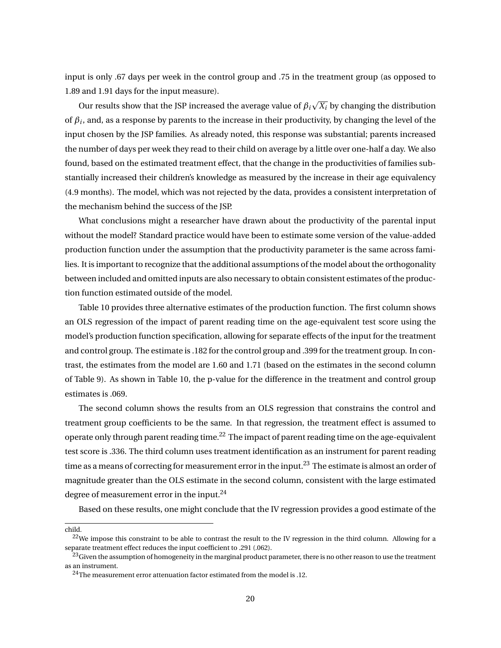input is only .67 days per week in the control group and .75 in the treatment group (as opposed to 1.89 and 1.91 days for the input measure).

Our results show that the JSP increased the average value of *β<sup>i</sup> X<sup>i</sup>* by changing the distribution of  $\beta_i$ , and, as a response by parents to the increase in their productivity, by changing the level of the input chosen by the JSP families. As already noted, this response was substantial; parents increased the number of days per week they read to their child on average by a little over one-half a day. We also found, based on the estimated treatment effect, that the change in the productivities of families substantially increased their children's knowledge as measured by the increase in their age equivalency (4.9 months). The model, which was not rejected by the data, provides a consistent interpretation of the mechanism behind the success of the JSP.

What conclusions might a researcher have drawn about the productivity of the parental input without the model? Standard practice would have been to estimate some version of the value-added production function under the assumption that the productivity parameter is the same across families. It is important to recognize that the additional assumptions of the model about the orthogonality between included and omitted inputs are also necessary to obtain consistent estimates of the production function estimated outside of the model.

Table [10](#page-32-0) provides three alternative estimates of the production function. The first column shows an OLS regression of the impact of parent reading time on the age-equivalent test score using the model's production function specification, allowing for separate effects of the input for the treatment and control group. The estimate is .182 for the control group and .399 for the treatment group. In contrast, the estimates from the model are 1.60 and 1.71 (based on the estimates in the second column of Table [9\)](#page-31-0). As shown in Table [10,](#page-32-0) the p-value for the difference in the treatment and control group estimates is .069

The second column shows the results from an OLS regression that constrains the control and treatment group coefficients to be the same. In that regression, the treatment effect is assumed to operate only through parent reading time.<sup>[22](#page-20-0)</sup> The impact of parent reading time on the age-equivalent test score is .336. The third column uses treatment identification as an instrument for parent reading time as a means of correcting for measurement error in the input.<sup>[23](#page-20-1)</sup> The estimate is almost an order of magnitude greater than the OLS estimate in the second column, consistent with the large estimated degree of measurement error in the input. $^{24}$  $^{24}$  $^{24}$ 

Based on these results, one might conclude that the IV regression provides a good estimate of the

child.

<span id="page-20-0"></span> $22$ We impose this constraint to be able to contrast the result to the IV regression in the third column. Allowing for a separate treatment effect reduces the input coefficient to .291 (.062).

<span id="page-20-1"></span><sup>&</sup>lt;sup>23</sup>Given the assumption of homogeneity in the marginal product parameter, there is no other reason to use the treatment as an instrument.

<span id="page-20-2"></span> $^{24}\mathrm{The}$  measurement error attenuation factor estimated from the model is .12.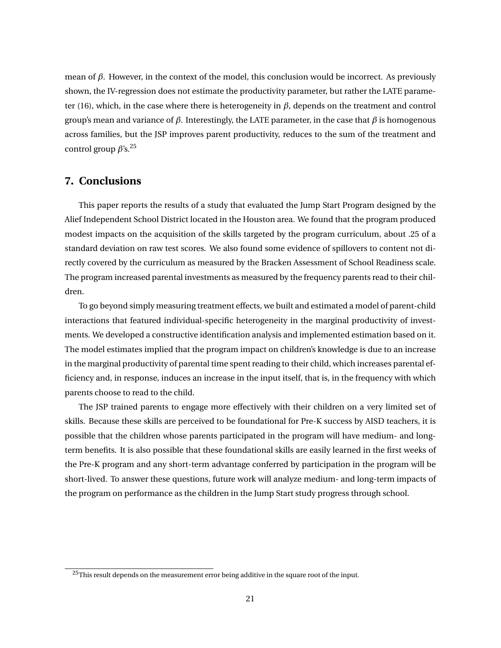mean of *β*. However, in the context of the model, this conclusion would be incorrect. As previously shown, the IV-regression does not estimate the productivity parameter, but rather the LATE parameter (16), which, in the case where there is heterogeneity in *β*, depends on the treatment and control group's mean and variance of *β*. Interestingly, the LATE parameter, in the case that *β* is homogenous across families, but the JSP improves parent productivity, reduces to the sum of the treatment and control group *β*'s.[25](#page-21-0)

## **7. Conclusions**

This paper reports the results of a study that evaluated the Jump Start Program designed by the Alief Independent School District located in the Houston area. We found that the program produced modest impacts on the acquisition of the skills targeted by the program curriculum, about .25 of a standard deviation on raw test scores. We also found some evidence of spillovers to content not directly covered by the curriculum as measured by the Bracken Assessment of School Readiness scale. The program increased parental investments as measured by the frequency parents read to their children.

To go beyond simply measuring treatment effects, we built and estimated a model of parent-child interactions that featured individual-specific heterogeneity in the marginal productivity of investments. We developed a constructive identification analysis and implemented estimation based on it. The model estimates implied that the program impact on children's knowledge is due to an increase in the marginal productivity of parental time spent reading to their child, which increases parental efficiency and, in response, induces an increase in the input itself, that is, in the frequency with which parents choose to read to the child.

The JSP trained parents to engage more effectively with their children on a very limited set of skills. Because these skills are perceived to be foundational for Pre-K success by AISD teachers, it is possible that the children whose parents participated in the program will have medium- and longterm benefits. It is also possible that these foundational skills are easily learned in the first weeks of the Pre-K program and any short-term advantage conferred by participation in the program will be short-lived. To answer these questions, future work will analyze medium- and long-term impacts of the program on performance as the children in the Jump Start study progress through school.

<span id="page-21-0"></span> $^{25}$ This result depends on the measurement error being additive in the square root of the input.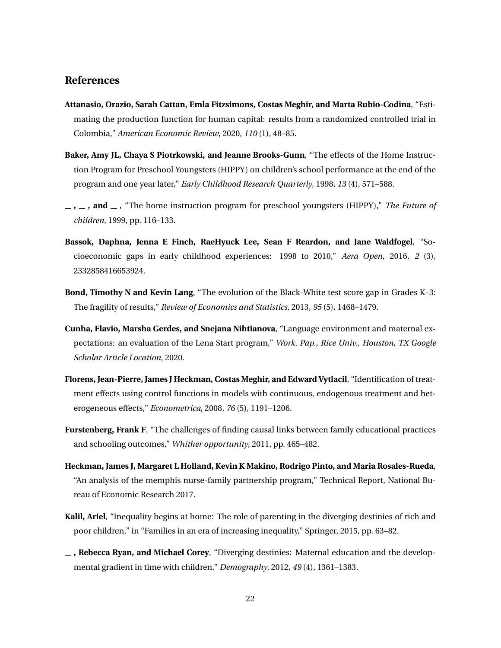## **References**

- <span id="page-22-10"></span>**Attanasio, Orazio, Sarah Cattan, Emla Fitzsimons, Costas Meghir, and Marta Rubio-Codina**, "Estimating the production function for human capital: results from a randomized controlled trial in Colombia," *American Economic Review*, 2020, *110* (1), 48–85.
- <span id="page-22-7"></span>**Baker, Amy JL, Chaya S Piotrkowski, and Jeanne Brooks-Gunn**, "The effects of the Home Instruction Program for Preschool Youngsters (HIPPY) on children's school performance at the end of the program and one year later," *Early Childhood Research Quarterly*, 1998, *13* (4), 571–588.
- <span id="page-22-8"></span>**, , and** , "The home instruction program for preschool youngsters (HIPPY)," *The Future of children*, 1999, pp. 116–133.
- <span id="page-22-2"></span>**Bassok, Daphna, Jenna E Finch, RaeHyuck Lee, Sean F Reardon, and Jane Waldfogel**, "Socioeconomic gaps in early childhood experiences: 1998 to 2010," *Aera Open*, 2016, *2* (3), 2332858416653924.
- <span id="page-22-0"></span>**Bond, Timothy N and Kevin Lang**, "The evolution of the Black-White test score gap in Grades K–3: The fragility of results," *Review of Economics and Statistics*, 2013, *95* (5), 1468–1479.
- <span id="page-22-4"></span>**Cunha, Flavio, Marsha Gerdes, and Snejana Nihtianova**, "Language environment and maternal expectations: an evaluation of the Lena Start program," *Work. Pap., Rice Univ., Houston, TX Google Scholar Article Location*, 2020.
- <span id="page-22-9"></span>**Florens, Jean-Pierre, James J Heckman, Costas Meghir, and Edward Vytlacil**, "Identification of treatment effects using control functions in models with continuous, endogenous treatment and heterogeneous effects," *Econometrica*, 2008, *76* (5), 1191–1206.
- <span id="page-22-5"></span>**Furstenberg, Frank F**, "The challenges of finding causal links between family educational practices and schooling outcomes," *Whither opportunity*, 2011, pp. 465–482.
- <span id="page-22-6"></span>**Heckman, James J, Margaret L Holland, Kevin K Makino, Rodrigo Pinto, and Maria Rosales-Rueda**, "An analysis of the memphis nurse-family partnership program," Technical Report, National Bureau of Economic Research 2017.
- <span id="page-22-3"></span>**Kalil, Ariel**, "Inequality begins at home: The role of parenting in the diverging destinies of rich and poor children," in "Families in an era of increasing inequality," Springer, 2015, pp. 63–82.
- <span id="page-22-1"></span>**, Rebecca Ryan, and Michael Corey**, "Diverging destinies: Maternal education and the developmental gradient in time with children," *Demography*, 2012, *49* (4), 1361–1383.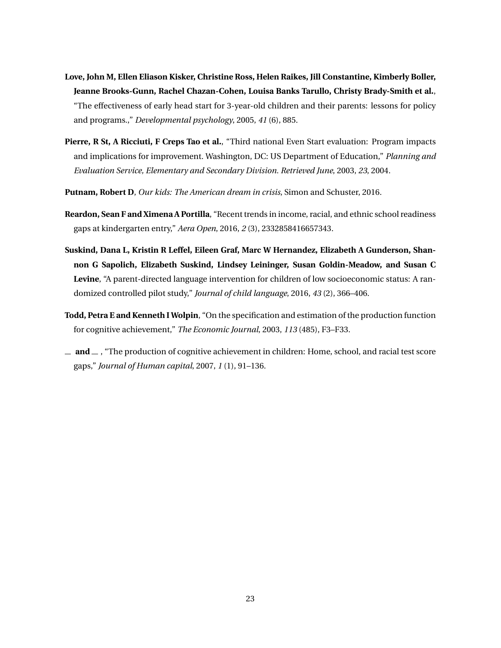- <span id="page-23-3"></span>**Love, John M, Ellen Eliason Kisker, Christine Ross, Helen Raikes, Jill Constantine, Kimberly Boller, Jeanne Brooks-Gunn, Rachel Chazan-Cohen, Louisa Banks Tarullo, Christy Brady-Smith et al.**, "The effectiveness of early head start for 3-year-old children and their parents: lessons for policy and programs.," *Developmental psychology*, 2005, *41* (6), 885.
- <span id="page-23-4"></span>**Pierre, R St, A Ricciuti, F Creps Tao et al.**, "Third national Even Start evaluation: Program impacts and implications for improvement. Washington, DC: US Department of Education," *Planning and Evaluation Service, Elementary and Secondary Division. Retrieved June*, 2003, *23*, 2004.
- <span id="page-23-1"></span>**Putnam, Robert D**, *Our kids: The American dream in crisis*, Simon and Schuster, 2016.
- <span id="page-23-0"></span>**Reardon, Sean F and Ximena A Portilla**, "Recent trends in income, racial, and ethnic school readiness gaps at kindergarten entry," *Aera Open*, 2016, *2* (3), 2332858416657343.
- <span id="page-23-2"></span>**Suskind, Dana L, Kristin R Leffel, Eileen Graf, Marc W Hernandez, Elizabeth A Gunderson, Shannon G Sapolich, Elizabeth Suskind, Lindsey Leininger, Susan Goldin-Meadow, and Susan C** Levine, "A parent-directed language intervention for children of low socioeconomic status: A randomized controlled pilot study," *Journal of child language*, 2016, *43* (2), 366–406.
- <span id="page-23-6"></span>**Todd, Petra E and Kenneth I Wolpin**, "On the specification and estimation of the production function for cognitive achievement," *The Economic Journal*, 2003, *113* (485), F3–F33.
- <span id="page-23-5"></span> $\equiv$  **and**  $\equiv$ , "The production of cognitive achievement in children: Home, school, and racial test score gaps," *Journal of Human capital*, 2007, *1* (1), 91–136.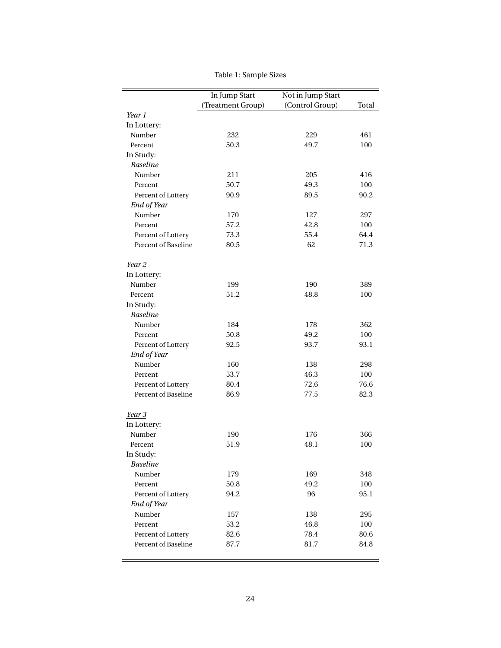<span id="page-24-0"></span>

|                            | In Jump Start     | Not in Jump Start |       |
|----------------------------|-------------------|-------------------|-------|
| Year 1                     | (Treatment Group) | (Control Group)   | Total |
| In Lottery:                |                   |                   |       |
| Number                     | 232               | 229               | 461   |
| Percent                    | 50.3              | 49.7              | 100   |
| In Study:                  |                   |                   |       |
| <b>Baseline</b>            |                   |                   |       |
| Number                     | 211               | 205               | 416   |
| Percent                    | 50.7              | 49.3              | 100   |
| Percent of Lottery         | 90.9              | 89.5              | 90.2  |
| End of Year                |                   |                   |       |
| Number                     | 170               | 127               | 297   |
| Percent                    | 57.2              | 42.8              | 100   |
| Percent of Lottery         | 73.3              | 55.4              | 64.4  |
| <b>Percent of Baseline</b> | 80.5              | 62                | 71.3  |
|                            |                   |                   |       |
| Year 2                     |                   |                   |       |
| In Lottery:                |                   |                   |       |
| Number                     | 199               | 190               | 389   |
| Percent                    | 51.2              | 48.8              | 100   |
| In Study:                  |                   |                   |       |
| <b>Baseline</b>            |                   |                   |       |
| Number                     | 184               | 178               | 362   |
| Percent                    | 50.8              | 49.2              | 100   |
| Percent of Lottery         | 92.5              | 93.7              | 93.1  |
| End of Year                |                   |                   |       |
| Number                     | 160               | 138               | 298   |
| Percent                    | 53.7              | 46.3              | 100   |
| Percent of Lottery         | 80.4              | 72.6              | 76.6  |
| Percent of Baseline        | 86.9              | 77.5              | 82.3  |
| Year 3                     |                   |                   |       |
| In Lottery:                |                   |                   |       |
| Number                     | 190               | 176               | 366   |
| Percent                    | 51.9              | 48.1              | 100   |
| In Study:                  |                   |                   |       |
| <b>Baseline</b>            |                   |                   |       |
| Number                     | 179               | 169               | 348   |
| Percent                    | 50.8              | 49.2              | 100   |
| Percent of Lottery         | 94.2              | 96                | 95.1  |
| End of Year                |                   |                   |       |
| Number                     | 157               | 138               | 295   |
| Percent                    | 53.2              | 46.8              | 100   |
| Percent of Lottery         | 82.6              | 78.4              | 80.6  |
| Percent of Baseline        | 87.7              | 81.7              | 84.8  |

Table 1: Sample Sizes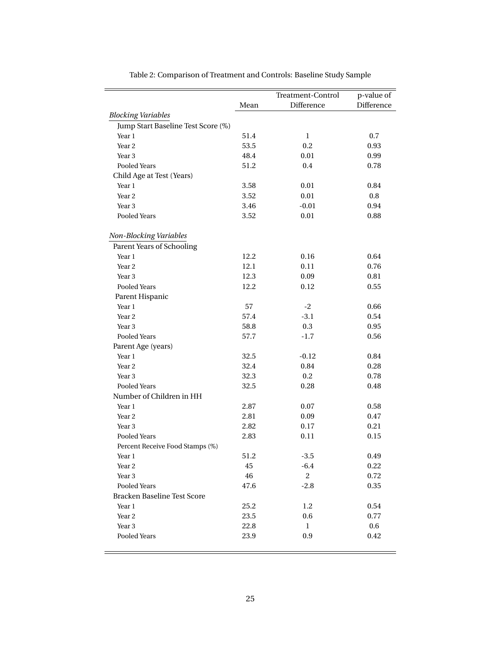|                                    |      | Treatment-Control | p-value of |
|------------------------------------|------|-------------------|------------|
|                                    | Mean | Difference        | Difference |
| <b>Blocking Variables</b>          |      |                   |            |
| Jump Start Baseline Test Score (%) |      |                   |            |
| Year 1                             | 51.4 | $\bf{l}$          | 0.7        |
| Year <sub>2</sub>                  | 53.5 | 0.2               | 0.93       |
| Year <sub>3</sub>                  | 48.4 | 0.01              | 0.99       |
| Pooled Years                       | 51.2 | 0.4               | 0.78       |
| Child Age at Test (Years)          |      |                   |            |
| Year 1                             | 3.58 | 0.01              | 0.84       |
| Year <sub>2</sub>                  | 3.52 | $0.01\,$          | $\rm 0.8$  |
| Year <sub>3</sub>                  | 3.46 | $-0.01$           | 0.94       |
| Pooled Years                       | 3.52 | $0.01\,$          | 0.88       |
| Non-Blocking Variables             |      |                   |            |
| Parent Years of Schooling          |      |                   |            |
| Year 1                             | 12.2 | 0.16              | 0.64       |
| Year <sub>2</sub>                  | 12.1 | 0.11              | 0.76       |
| Year <sub>3</sub>                  | 12.3 | 0.09              | 0.81       |
| Pooled Years                       | 12.2 | 0.12              | 0.55       |
| Parent Hispanic                    |      |                   |            |
| Year 1                             | 57   | $-2$              | 0.66       |
| Year <sub>2</sub>                  | 57.4 | $-3.1$            | 0.54       |
| Year <sub>3</sub>                  | 58.8 | 0.3               | 0.95       |
| Pooled Years                       | 57.7 | $-1.7$            | 0.56       |
| Parent Age (years)                 |      |                   |            |
| Year 1                             | 32.5 | $-0.12$           | 0.84       |
| Year <sub>2</sub>                  | 32.4 | 0.84              | 0.28       |
| Year 3                             | 32.3 | 0.2               | 0.78       |
| Pooled Years                       | 32.5 | 0.28              | 0.48       |
| Number of Children in HH           |      |                   |            |
| Year 1                             | 2.87 | 0.07              | 0.58       |
| Year 2                             | 2.81 | 0.09              | 0.47       |
| Year 3                             | 2.82 | 0.17              | 0.21       |
| Pooled Years                       | 2.83 | 0.11              | 0.15       |
| Percent Receive Food Stamps (%)    |      |                   |            |
| Year 1                             | 51.2 | $-3.5$            | 0.49       |
| Year 2                             | 45   | $-6.4$            | 0.22       |
| Year <sub>3</sub>                  | 46   | $\overline{2}$    | 0.72       |
| Pooled Years                       | 47.6 | $-2.8$            | 0.35       |
| Bracken Baseline Test Score        |      |                   |            |
| Year 1                             | 25.2 | 1.2               | 0.54       |
| Year 2                             | 23.5 | 0.6               | 0.77       |
| Year 3                             | 22.8 | $\mathbf{1}$      | $0.6\,$    |
| Pooled Years                       | 23.9 | 0.9               | 0.42       |
|                                    |      |                   |            |

Table 2: Comparison of Treatment and Controls: Baseline Study Sample

<span id="page-25-0"></span> $\equiv$ 

 $\equiv$ 

 $\overline{\phantom{a}}$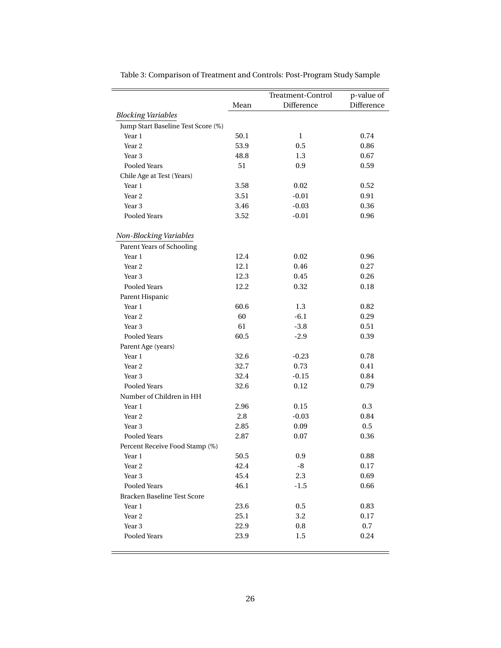|                                    |      | Treatment-Control | p-value of |
|------------------------------------|------|-------------------|------------|
|                                    | Mean | Difference        | Difference |
| <b>Blocking Variables</b>          |      |                   |            |
| Jump Start Baseline Test Score (%) |      |                   |            |
| Year 1                             | 50.1 | $\mathbf{1}$      | 0.74       |
| Year 2                             | 53.9 | 0.5               | 0.86       |
| Year <sub>3</sub>                  | 48.8 | 1.3               | 0.67       |
| Pooled Years                       | 51   | 0.9               | 0.59       |
| Chile Age at Test (Years)          |      |                   |            |
| Year 1                             | 3.58 | 0.02              | 0.52       |
| Year <sub>2</sub>                  | 3.51 | $-0.01$           | 0.91       |
| Year <sub>3</sub>                  | 3.46 | $-0.03$           | 0.36       |
| Pooled Years                       | 3.52 | $-0.01$           | 0.96       |
|                                    |      |                   |            |
| Non-Blocking Variables             |      |                   |            |
| Parent Years of Schooling          |      |                   |            |
| Year 1                             | 12.4 | 0.02              | 0.96       |
| Year <sub>2</sub>                  | 12.1 | 0.46              | 0.27       |
| Year <sub>3</sub>                  | 12.3 | 0.45              | 0.26       |
| Pooled Years                       | 12.2 | 0.32              | 0.18       |
| Parent Hispanic                    |      |                   |            |
| Year 1                             | 60.6 | 1.3               | 0.82       |
| Year <sub>2</sub>                  | 60   | $-6.1$            | 0.29       |
| Year <sub>3</sub>                  | 61   | $-3.8$            | 0.51       |
| Pooled Years                       | 60.5 | $-2.9$            | 0.39       |
| Parent Age (years)                 |      |                   |            |
| Year 1                             | 32.6 | $-0.23$           | 0.78       |
| Year <sub>2</sub>                  | 32.7 | 0.73              | 0.41       |
| Year <sub>3</sub>                  | 32.4 | $-0.15$           | 0.84       |
| Pooled Years                       | 32.6 | 0.12              | 0.79       |
| Number of Children in HH           |      |                   |            |
| Year 1                             | 2.96 | 0.15              | 0.3        |
| Year <sub>2</sub>                  | 2.8  | $-0.03$           | 0.84       |
| Year 3                             | 2.85 | 0.09              | 0.5        |
| Pooled Years                       | 2.87 | 0.07              | 0.36       |
| Percent Receive Food Stamp (%)     |      |                   |            |
| Year 1                             | 50.5 | 0.9               | 0.88       |
| Year 2                             | 42.4 | -8                | 0.17       |
| Year <sub>3</sub>                  | 45.4 | 2.3               | 0.69       |
| Pooled Years                       | 46.1 | $-1.5$            | 0.66       |
| Bracken Baseline Test Score        |      |                   |            |
| Year 1                             | 23.6 | $0.5\,$           | 0.83       |
| Year 2                             | 25.1 | 3.2               | 0.17       |
| Year 3                             | 22.9 | 0.8               | 0.7        |
| Pooled Years                       | 23.9 | $1.5\,$           | 0.24       |
|                                    |      |                   |            |

<span id="page-26-0"></span>Table 3: Comparison of Treatment and Controls: Post-Program Study Sample

÷,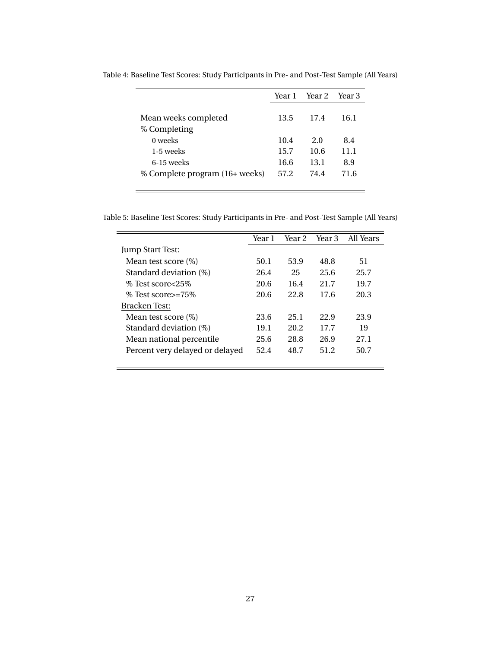|                                | Year 1 | Year 2 | Year 3 |
|--------------------------------|--------|--------|--------|
| Mean weeks completed           | 13.5   | 17.4   | 16.1   |
| % Completing<br>0 weeks        | 10.4   | 2.0    | 8.4    |
| 1-5 weeks                      | 15.7   | 10.6   | 11.1   |
| 6-15 weeks                     | 16.6   | 13.1   | 8.9    |
| % Complete program (16+ weeks) | 57.2   | 74.4   | 71.6   |

<span id="page-27-0"></span>Table 4: Baseline Test Scores: Study Participants in Pre- and Post-Test Sample (All Years)

<span id="page-27-1"></span>Table 5: Baseline Test Scores: Study Participants in Pre- and Post-Test Sample (All Years)

 $=$ 

 $\equiv$ 

|                                 | Year 1 | Year 2 | Year 3 | All Years |
|---------------------------------|--------|--------|--------|-----------|
| <b>Jump Start Test:</b>         |        |        |        |           |
| Mean test score (%)             | 50.1   | 53.9   | 48.8   | 51        |
| Standard deviation (%)          | 26.4   | 25     | 25.6   | 25.7      |
| % Test score<25%                | 20.6   | 16.4   | 21.7   | 19.7      |
| $\%$ Test score $\geq$ =75 $\%$ | 20.6   | 22.8   | 17.6   | 20.3      |
| Bracken Test:                   |        |        |        |           |
| Mean test score (%)             | 23.6   | 25.1   | 22.9   | 23.9      |
| Standard deviation (%)          | 19.1   | 20.2   | 17.7   | 19        |
| Mean national percentile        | 25.6   | 28.8   | 26.9   | 27.1      |
| Percent very delayed or delayed | 52.4   | 48.7   | 51.2   | 50.7      |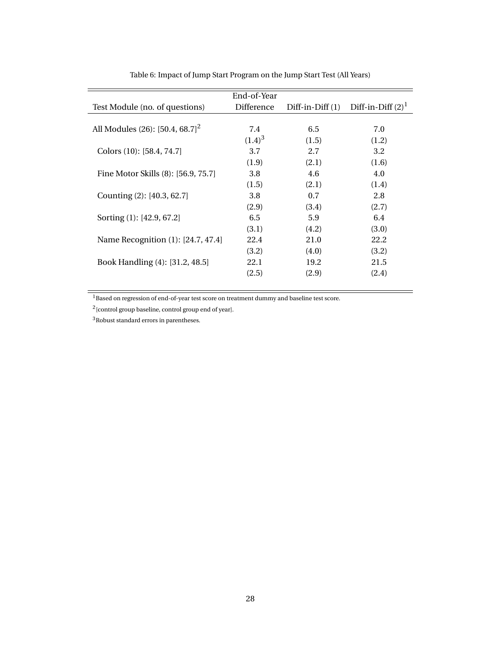<span id="page-28-0"></span>

|                                             | End-of-Year |                   |                      |
|---------------------------------------------|-------------|-------------------|----------------------|
| Test Module (no. of questions)              | Difference  | $Diff-in-Diff(1)$ | Diff-in-Diff $(2)^1$ |
|                                             |             |                   |                      |
| All Modules (26): [50.4, 68.7] <sup>2</sup> | 7.4         | 6.5               | 7.0                  |
|                                             | $(1.4)^3$   | (1.5)             | (1.2)                |
| Colors (10): [58.4, 74.7]                   | 3.7         | 2.7               | 3.2                  |
|                                             | (1.9)       | (2.1)             | (1.6)                |
| Fine Motor Skills (8): [56.9, 75.7]         | 3.8         | 4.6               | 4.0                  |
|                                             | (1.5)       | (2.1)             | (1.4)                |
| Counting (2): [40.3, 62.7]                  | 3.8         | 0.7               | 2.8                  |
|                                             | (2.9)       | (3.4)             | (2.7)                |
| Sorting (1): [42.9, 67.2]                   | 6.5         | 5.9               | 6.4                  |
|                                             | (3.1)       | (4.2)             | (3.0)                |
| Name Recognition (1): [24.7, 47.4]          | 22.4        | 21.0              | 22.2                 |
|                                             | (3.2)       | (4.0)             | (3.2)                |
| Book Handling (4): [31.2, 48.5]             | 22.1        | 19.2              | 21.5                 |
|                                             | (2.5)       | (2.9)             | (2.4)                |
|                                             |             |                   |                      |

Table 6: Impact of Jump Start Program on the Jump Start Test (All Years)

<sup>1</sup>Based on regression of end-of-year test score on treatment dummy and baseline test score.

 $2$  [control group baseline, control group end of year].

 ${\rm^3}$  Robust standard errors in parentheses.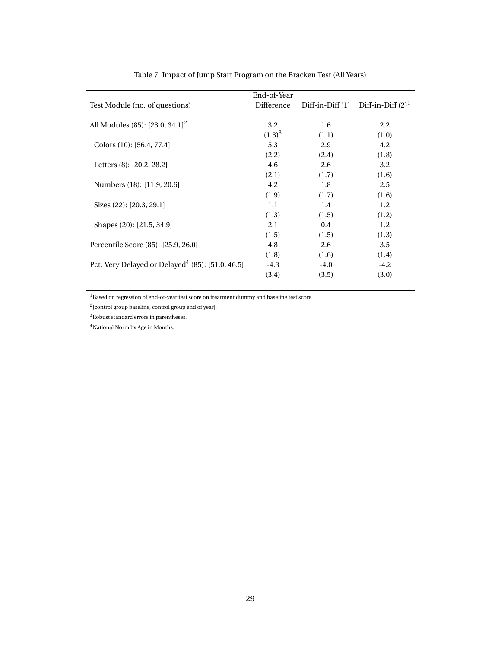<span id="page-29-0"></span>

|                                                              | End-of-Year |                   |                      |
|--------------------------------------------------------------|-------------|-------------------|----------------------|
| Test Module (no. of questions)                               | Difference  | $Diff-in-Diff(1)$ | Diff-in-Diff $(2)^1$ |
|                                                              |             |                   |                      |
| All Modules (85): [23.0, 34.1] <sup>2</sup>                  | 3.2         | 1.6               | 2.2                  |
|                                                              | $(1.3)^3$   | (1.1)             | (1.0)                |
| Colors (10): [56.4, 77.4]                                    | 5.3         | 2.9               | 4.2                  |
|                                                              | (2.2)       | (2.4)             | (1.8)                |
| Letters (8): [20.2, 28.2]                                    | 4.6         | 2.6               | 3.2                  |
|                                                              | (2.1)       | (1.7)             | (1.6)                |
| Numbers (18): [11.9, 20.6]                                   | 4.2         | 1.8               | 2.5                  |
|                                                              | (1.9)       | (1.7)             | (1.6)                |
| Sizes (22): [20.3, 29.1]                                     | 1.1         | 1.4               | 1.2                  |
|                                                              | (1.3)       | (1.5)             | (1.2)                |
| Shapes (20): [21.5, 34.9]                                    | 2.1         | 0.4               | 1.2                  |
|                                                              | (1.5)       | (1.5)             | (1.3)                |
| Percentile Score (85): [25.9, 26.0]                          | 4.8         | 2.6               | 3.5                  |
|                                                              | (1.8)       | (1.6)             | (1.4)                |
| Pct. Very Delayed or Delayed <sup>4</sup> (85): [51.0, 46.5] | $-4.3$      | $-4.0$            | $-4.2$               |
|                                                              | (3.4)       | (3.5)             | (3.0)                |
|                                                              |             |                   |                      |

Table 7: Impact of Jump Start Program on the Bracken Test (All Years)

 $\overline{\hbox{${\scriptstyle~1}$\scriptstyle$Based on regression of end-of-year test score on treatment dummy and baseline test score.}}$ 

<sup>2</sup> [control group baseline, control group end of year].

<sup>3</sup>Robust standard errors in parentheses.

<sup>4</sup>National Norm by Age in Months.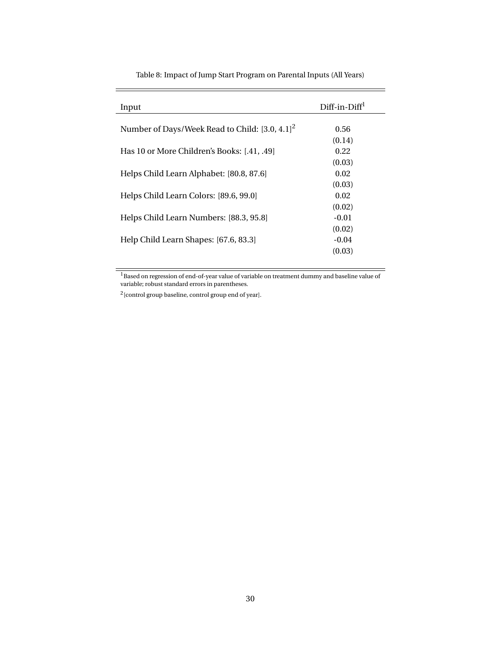| Input                                             | Diff-in-Diff <sup>1</sup> |
|---------------------------------------------------|---------------------------|
| Number of Days/Week Read to Child: $[3.0, 4.1]^2$ | 0.56                      |
| Has 10 or More Children's Books: [.41, .49]       | (0.14)<br>0.22            |
|                                                   | (0.03)                    |
| Helps Child Learn Alphabet: [80.8, 87.6]          | 0.02<br>(0.03)            |
| Helps Child Learn Colors: [89.6, 99.0]            | 0.02                      |
| Helps Child Learn Numbers: [88.3, 95.8]           | (0.02)<br>$-0.01$         |
| Help Child Learn Shapes: [67.6, 83.3]             | (0.02)<br>$-0.04$         |
|                                                   | (0.03)                    |

Table 8: Impact of Jump Start Program on Parental Inputs (All Years)

 $^{\rm 1}$ Based on regression of end-of-year value of variable on treatment dummy and baseline value of variable; robust standard errors in parentheses.

<sup>2</sup> [control group baseline, control group end of year].

<span id="page-30-0"></span> $\equiv$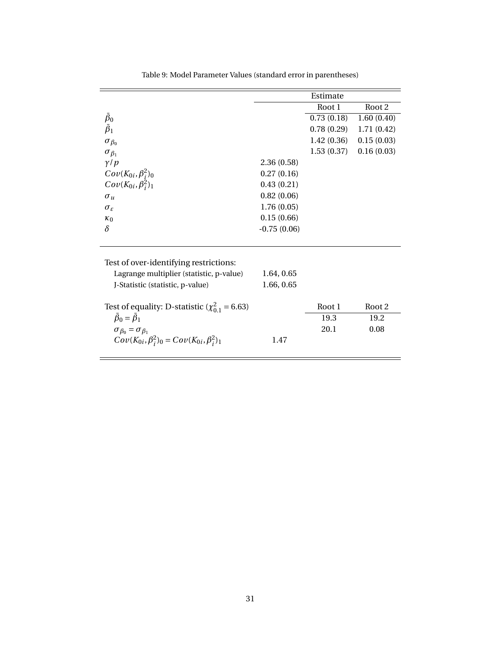<span id="page-31-0"></span>

|                                                        |               | Estimate   |            |
|--------------------------------------------------------|---------------|------------|------------|
|                                                        |               | Root 1     | Root 2     |
| $\frac{\bar{\beta}_0}{\bar{\beta}_1}$                  |               | 0.73(0.18) | 1.60(0.40) |
|                                                        |               | 0.78(0.29) | 1.71(0.42) |
| $\sigma_{\beta_0}$                                     |               | 1.42(0.36) | 0.15(0.03) |
| $\sigma_{\beta_1}$                                     |               | 1.53(0.37) | 0.16(0.03) |
| $\gamma$ / $p$                                         | 2.36(0.58)    |            |            |
| $Cov(K_{0i}, \beta_i^2)_0$                             | 0.27(0.16)    |            |            |
| $Cov(K_{0i}, \beta_i^2)_1$                             | 0.43(0.21)    |            |            |
| $\sigma_u$                                             | 0.82(0.06)    |            |            |
| $\sigma_{\varepsilon}$                                 | 1.76(0.05)    |            |            |
| $\kappa_0$                                             | 0.15(0.66)    |            |            |
| $\delta$                                               | $-0.75(0.06)$ |            |            |
|                                                        |               |            |            |
| Test of over-identifying restrictions:                 |               |            |            |
| Lagrange multiplier (statistic, p-value)               | 1.64, 0.65    |            |            |
| J-Statistic (statistic, p-value)                       | 1.66, 0.65    |            |            |
|                                                        |               |            |            |
| Test of equality: D-statistic ( $\chi_{0.1}^2$ = 6.63) |               | Root 1     | Root 2     |
| $\bar{\beta}_0 = \bar{\beta}_1$                        |               | 19.3       | 19.2       |
| $\sigma_{\beta_0} = \sigma_{\beta_1}$                  |               | 20.1       | 0.08       |
| $Cov(K_{0i}, \beta_i^2)_0 = Cov(K_{0i}, \beta_i^2)_1$  | 1.47          |            |            |
|                                                        |               |            |            |

Table 9: Model Parameter Values (standard error in parentheses)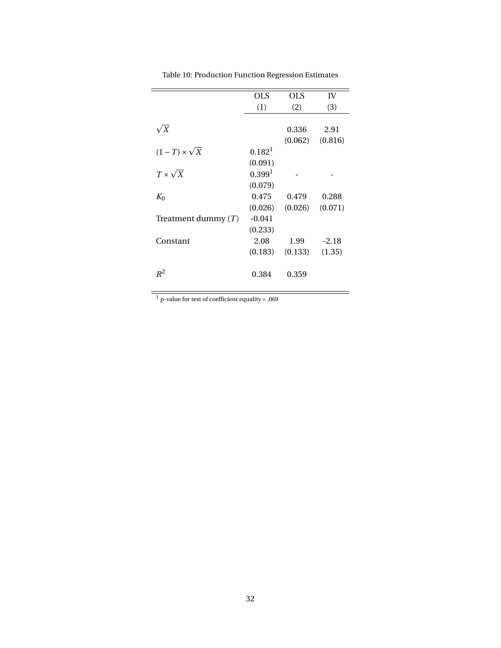<span id="page-32-0"></span>

|                         | OLS                | <b>OLS</b> | IV      |
|-------------------------|--------------------|------------|---------|
|                         | (1)                | (2)        | (3)     |
|                         |                    |            |         |
| ${}^\prime X$           |                    | 0.336      | 2.91    |
|                         |                    | (0.062)    | (0.816) |
| $(1-T) \times \sqrt{X}$ | 0.182 <sup>1</sup> |            |         |
|                         | (0.091)            |            |         |
| $T \times \sqrt{X}$     | 0.399 <sup>1</sup> |            |         |
|                         | (0.079)            |            |         |
| $K_0$                   | 0.475              | 0.479      | 0.288   |
|                         | (0.026)            | (0.026)    | (0.071) |
| Treatment dummy $(T)$   | $-0.041$           |            |         |
|                         | (0.233)            |            |         |
| Constant                | 2.08               | 1.99       | $-2.18$ |
|                         | (0.183)            | (0.133)    | (1.35)  |
|                         |                    |            |         |
| $R^2$                   | 0.384              | 0.359      |         |
|                         |                    |            |         |

Table 10: Production Function Regression Estimates

 $\overline{\hspace{1em}\frac{1}{1}$  p-value for test of coefficient equality = .069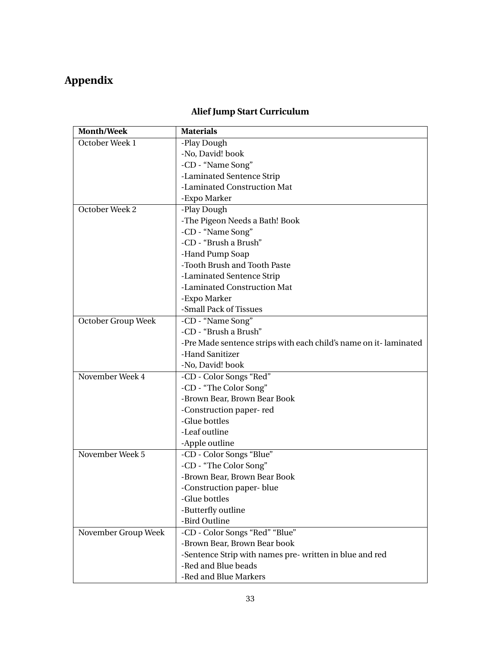# **Appendix**

## **Alief Jump Start Curriculum**

| <b>Month/Week</b>   | <b>Materials</b>                                                 |
|---------------------|------------------------------------------------------------------|
| October Week 1      | -Play Dough                                                      |
|                     | -No, David! book                                                 |
|                     | -CD - "Name Song"                                                |
|                     | -Laminated Sentence Strip                                        |
|                     | -Laminated Construction Mat                                      |
|                     | -Expo Marker                                                     |
| October Week 2      | -Play Dough                                                      |
|                     | -The Pigeon Needs a Bath! Book                                   |
|                     | -CD - "Name Song"                                                |
|                     | -CD - "Brush a Brush"                                            |
|                     | -Hand Pump Soap                                                  |
|                     | -Tooth Brush and Tooth Paste                                     |
|                     | -Laminated Sentence Strip                                        |
|                     | -Laminated Construction Mat                                      |
|                     | -Expo Marker                                                     |
|                     | -Small Pack of Tissues                                           |
| October Group Week  | -CD - "Name Song"                                                |
|                     | -CD - "Brush a Brush"                                            |
|                     | -Pre Made sentence strips with each child's name on it-laminated |
|                     | -Hand Sanitizer                                                  |
|                     | -No, David! book                                                 |
| November Week 4     | -CD - Color Songs "Red"                                          |
|                     | -CD - "The Color Song"                                           |
|                     | -Brown Bear, Brown Bear Book                                     |
|                     | -Construction paper-red                                          |
|                     | -Glue bottles                                                    |
|                     | -Leaf outline                                                    |
|                     | -Apple outline                                                   |
| November Week 5     | -CD - Color Songs "Blue"                                         |
|                     | -CD - "The Color Song"                                           |
|                     | -Brown Bear, Brown Bear Book                                     |
|                     | -Construction paper- blue                                        |
|                     | -Glue bottles                                                    |
|                     | -Butterfly outline                                               |
|                     | -Bird Outline                                                    |
| November Group Week | -CD - Color Songs "Red" "Blue"                                   |
|                     | -Brown Bear, Brown Bear book                                     |
|                     | -Sentence Strip with names pre- written in blue and red          |
|                     | -Red and Blue beads                                              |
|                     | -Red and Blue Markers                                            |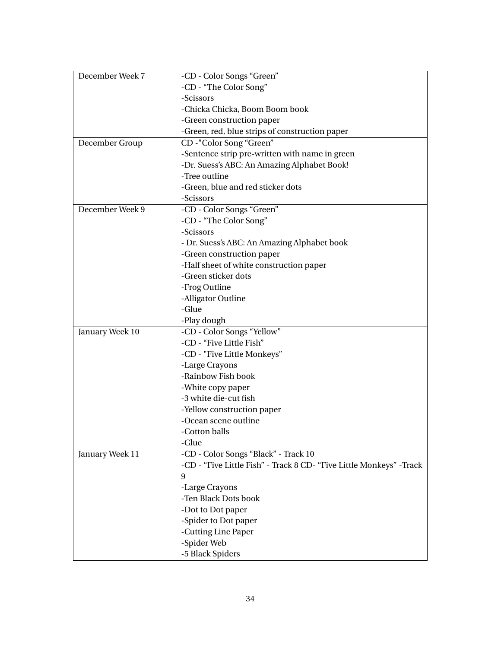| -CD - "Five Little Fish" - Track 8 CD- "Five Little Monkeys" - Track |
|----------------------------------------------------------------------|
|                                                                      |
|                                                                      |
|                                                                      |
|                                                                      |
|                                                                      |
|                                                                      |
|                                                                      |
|                                                                      |
|                                                                      |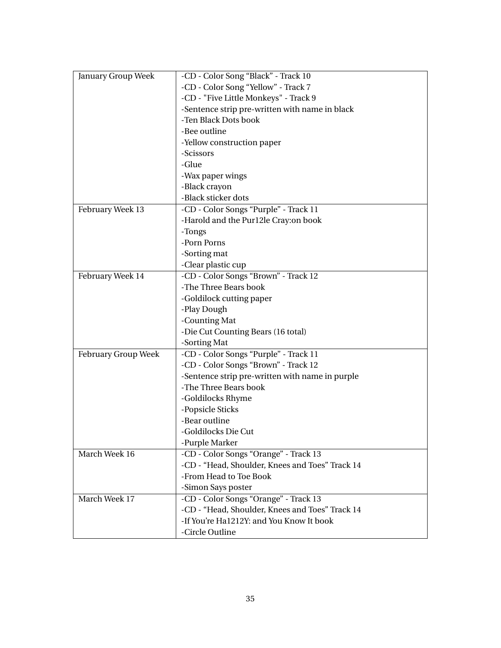| <b>January Group Week</b> | -CD - Color Song "Black" - Track 10             |
|---------------------------|-------------------------------------------------|
|                           | -CD - Color Song "Yellow" - Track 7             |
|                           | -CD - "Five Little Monkeys" - Track 9           |
|                           | -Sentence strip pre-written with name in black  |
|                           | -Ten Black Dots book                            |
|                           | -Bee outline                                    |
|                           | -Yellow construction paper                      |
|                           | -Scissors                                       |
|                           | -Glue                                           |
|                           |                                                 |
|                           | -Wax paper wings                                |
|                           | -Black crayon                                   |
|                           | -Black sticker dots                             |
| February Week 13          | -CD - Color Songs "Purple" - Track 11           |
|                           | -Harold and the Pur12le Cray:on book            |
|                           | -Tongs                                          |
|                           | -Porn Porns                                     |
|                           | -Sorting mat                                    |
|                           | -Clear plastic cup                              |
| February Week 14          | -CD - Color Songs "Brown" - Track 12            |
|                           | -The Three Bears book                           |
|                           | -Goldilock cutting paper                        |
|                           | -Play Dough                                     |
|                           | -Counting Mat                                   |
|                           | -Die Cut Counting Bears (16 total)              |
|                           | -Sorting Mat                                    |
| February Group Week       | -CD - Color Songs "Purple" - Track 11           |
|                           | -CD - Color Songs "Brown" - Track 12            |
|                           | -Sentence strip pre-written with name in purple |
|                           | -The Three Bears book                           |
|                           | -Goldilocks Rhyme                               |
|                           | -Popsicle Sticks                                |
|                           | -Bear outline                                   |
|                           | -Goldilocks Die Cut                             |
|                           | -Purple Marker                                  |
| March Week 16             | -CD - Color Songs "Orange" - Track 13           |
|                           | -CD - "Head, Shoulder, Knees and Toes" Track 14 |
|                           | -From Head to Toe Book                          |
|                           | -Simon Says poster                              |
| March Week 17             | -CD - Color Songs "Orange" - Track 13           |
|                           | -CD - "Head, Shoulder, Knees and Toes" Track 14 |
|                           | -If You're Ha1212Y: and You Know It book        |
|                           | -Circle Outline                                 |
|                           |                                                 |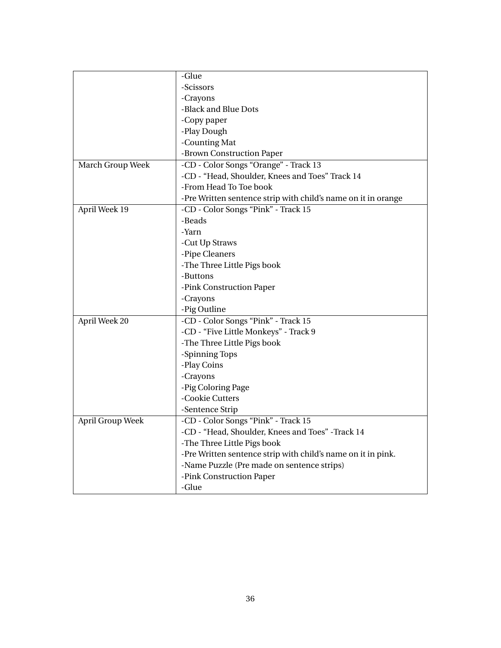|                  | -Glue                                                         |
|------------------|---------------------------------------------------------------|
|                  | -Scissors                                                     |
|                  | -Crayons                                                      |
|                  | -Black and Blue Dots                                          |
|                  | -Copy paper                                                   |
|                  | -Play Dough                                                   |
|                  | -Counting Mat                                                 |
|                  | -Brown Construction Paper                                     |
| March Group Week | -CD - Color Songs "Orange" - Track 13                         |
|                  | -CD - "Head, Shoulder, Knees and Toes" Track 14               |
|                  | -From Head To Toe book                                        |
|                  | -Pre Written sentence strip with child's name on it in orange |
| April Week 19    | -CD - Color Songs "Pink" - Track 15                           |
|                  | -Beads                                                        |
|                  | -Yarn                                                         |
|                  | -Cut Up Straws                                                |
|                  | -Pipe Cleaners                                                |
|                  | -The Three Little Pigs book                                   |
|                  | -Buttons                                                      |
|                  | -Pink Construction Paper                                      |
|                  | -Crayons                                                      |
|                  | -Pig Outline                                                  |
| April Week 20    | -CD - Color Songs "Pink" - Track 15                           |
|                  | -CD - "Five Little Monkeys" - Track 9                         |
|                  | -The Three Little Pigs book                                   |
|                  | -Spinning Tops                                                |
|                  | -Play Coins                                                   |
|                  | -Crayons                                                      |
|                  | -Pig Coloring Page                                            |
|                  | -Cookie Cutters                                               |
|                  | -Sentence Strip                                               |
| April Group Week | -CD - Color Songs "Pink" - Track 15                           |
|                  | -CD - "Head, Shoulder, Knees and Toes" -Track 14              |
|                  | -The Three Little Pigs book                                   |
|                  | -Pre Written sentence strip with child's name on it in pink.  |
|                  | -Name Puzzle (Pre made on sentence strips)                    |
|                  | -Pink Construction Paper                                      |
|                  | -Glue                                                         |